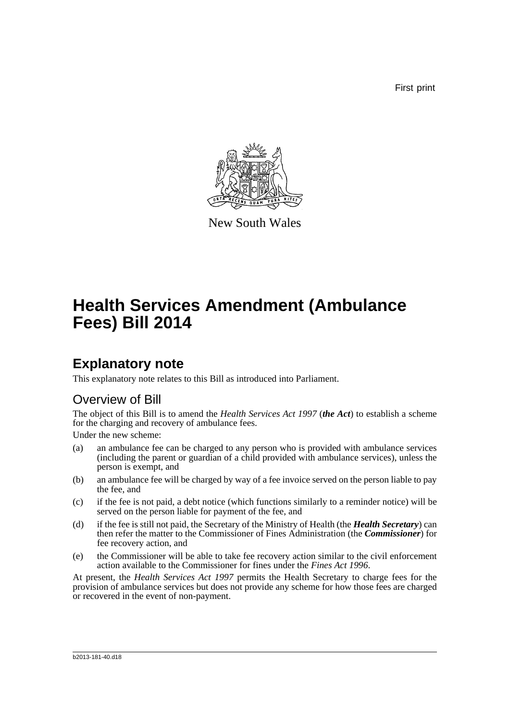First print



New South Wales

# **Health Services Amendment (Ambulance Fees) Bill 2014**

# **Explanatory note**

This explanatory note relates to this Bill as introduced into Parliament.

## Overview of Bill

The object of this Bill is to amend the *Health Services Act 1997* (*the Act*) to establish a scheme for the charging and recovery of ambulance fees.

Under the new scheme:

- (a) an ambulance fee can be charged to any person who is provided with ambulance services (including the parent or guardian of a child provided with ambulance services), unless the person is exempt, and
- (b) an ambulance fee will be charged by way of a fee invoice served on the person liable to pay the fee, and
- (c) if the fee is not paid, a debt notice (which functions similarly to a reminder notice) will be served on the person liable for payment of the fee, and
- (d) if the fee is still not paid, the Secretary of the Ministry of Health (the *Health Secretary*) can then refer the matter to the Commissioner of Fines Administration (the *Commissioner*) for fee recovery action, and
- (e) the Commissioner will be able to take fee recovery action similar to the civil enforcement action available to the Commissioner for fines under the *Fines Act 1996*.

At present, the *Health Services Act 1997* permits the Health Secretary to charge fees for the provision of ambulance services but does not provide any scheme for how those fees are charged or recovered in the event of non-payment.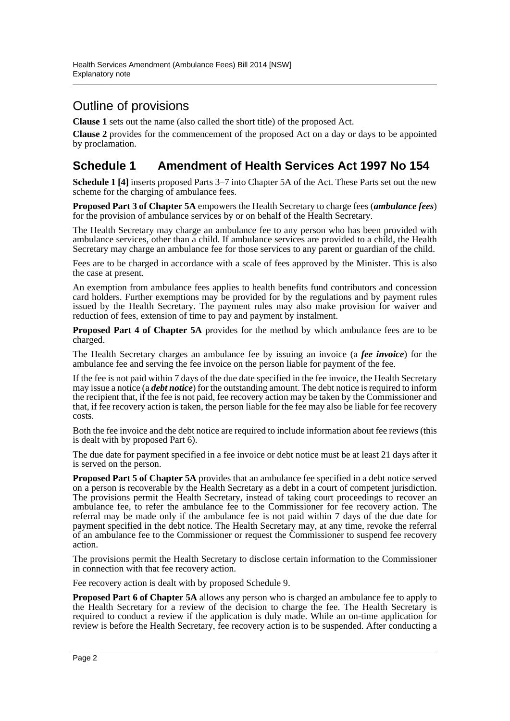# Outline of provisions

**Clause 1** sets out the name (also called the short title) of the proposed Act.

**Clause 2** provides for the commencement of the proposed Act on a day or days to be appointed by proclamation.

### **Schedule 1 Amendment of Health Services Act 1997 No 154**

**Schedule 1 [4]** inserts proposed Parts 3–7 into Chapter 5A of the Act. These Parts set out the new scheme for the charging of ambulance fees.

**Proposed Part 3 of Chapter 5A** empowers the Health Secretary to charge fees (*ambulance fees*) for the provision of ambulance services by or on behalf of the Health Secretary.

The Health Secretary may charge an ambulance fee to any person who has been provided with ambulance services, other than a child. If ambulance services are provided to a child, the Health Secretary may charge an ambulance fee for those services to any parent or guardian of the child.

Fees are to be charged in accordance with a scale of fees approved by the Minister. This is also the case at present.

An exemption from ambulance fees applies to health benefits fund contributors and concession card holders. Further exemptions may be provided for by the regulations and by payment rules issued by the Health Secretary. The payment rules may also make provision for waiver and reduction of fees, extension of time to pay and payment by instalment.

**Proposed Part 4 of Chapter 5A** provides for the method by which ambulance fees are to be charged.

The Health Secretary charges an ambulance fee by issuing an invoice (a *fee invoice*) for the ambulance fee and serving the fee invoice on the person liable for payment of the fee.

If the fee is not paid within 7 days of the due date specified in the fee invoice, the Health Secretary may issue a notice (a *debt notice*) for the outstanding amount. The debt notice is required to inform the recipient that, if the fee is not paid, fee recovery action may be taken by the Commissioner and that, if fee recovery action is taken, the person liable for the fee may also be liable for fee recovery costs.

Both the fee invoice and the debt notice are required to include information about fee reviews (this is dealt with by proposed Part 6).

The due date for payment specified in a fee invoice or debt notice must be at least 21 days after it is served on the person.

**Proposed Part 5 of Chapter 5A** provides that an ambulance fee specified in a debt notice served on a person is recoverable by the Health Secretary as a debt in a court of competent jurisdiction. The provisions permit the Health Secretary, instead of taking court proceedings to recover an ambulance fee, to refer the ambulance fee to the Commissioner for fee recovery action. The referral may be made only if the ambulance fee is not paid within 7 days of the due date for payment specified in the debt notice. The Health Secretary may, at any time, revoke the referral of an ambulance fee to the Commissioner or request the Commissioner to suspend fee recovery action.

The provisions permit the Health Secretary to disclose certain information to the Commissioner in connection with that fee recovery action.

Fee recovery action is dealt with by proposed Schedule 9.

**Proposed Part 6 of Chapter 5A** allows any person who is charged an ambulance fee to apply to the Health Secretary for a review of the decision to charge the fee. The Health Secretary is required to conduct a review if the application is duly made. While an on-time application for review is before the Health Secretary, fee recovery action is to be suspended. After conducting a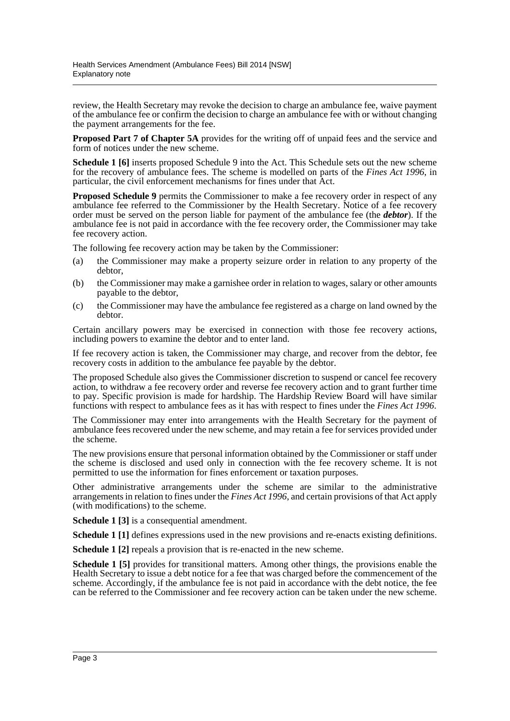review, the Health Secretary may revoke the decision to charge an ambulance fee, waive payment of the ambulance fee or confirm the decision to charge an ambulance fee with or without changing the payment arrangements for the fee.

**Proposed Part 7 of Chapter 5A** provides for the writing off of unpaid fees and the service and form of notices under the new scheme.

**Schedule 1 [6]** inserts proposed Schedule 9 into the Act. This Schedule sets out the new scheme for the recovery of ambulance fees. The scheme is modelled on parts of the *Fines Act 1996*, in particular, the civil enforcement mechanisms for fines under that Act.

**Proposed Schedule 9** permits the Commissioner to make a fee recovery order in respect of any ambulance fee referred to the Commissioner by the Health Secretary. Notice of a fee recovery order must be served on the person liable for payment of the ambulance fee (the *debtor*). If the ambulance fee is not paid in accordance with the fee recovery order, the Commissioner may take fee recovery action.

The following fee recovery action may be taken by the Commissioner:

- (a) the Commissioner may make a property seizure order in relation to any property of the debtor,
- (b) the Commissioner may make a garnishee order in relation to wages, salary or other amounts payable to the debtor,
- (c) the Commissioner may have the ambulance fee registered as a charge on land owned by the debtor.

Certain ancillary powers may be exercised in connection with those fee recovery actions, including powers to examine the debtor and to enter land.

If fee recovery action is taken, the Commissioner may charge, and recover from the debtor, fee recovery costs in addition to the ambulance fee payable by the debtor.

The proposed Schedule also gives the Commissioner discretion to suspend or cancel fee recovery action, to withdraw a fee recovery order and reverse fee recovery action and to grant further time to pay. Specific provision is made for hardship. The Hardship Review Board will have similar functions with respect to ambulance fees as it has with respect to fines under the *Fines Act 1996*.

The Commissioner may enter into arrangements with the Health Secretary for the payment of ambulance fees recovered under the new scheme, and may retain a fee for services provided under the scheme.

The new provisions ensure that personal information obtained by the Commissioner or staff under the scheme is disclosed and used only in connection with the fee recovery scheme. It is not permitted to use the information for fines enforcement or taxation purposes.

Other administrative arrangements under the scheme are similar to the administrative arrangements in relation to fines under the *Fines Act 1996*, and certain provisions of that Act apply (with modifications) to the scheme.

**Schedule 1 [3]** is a consequential amendment.

**Schedule 1** [1] defines expressions used in the new provisions and re-enacts existing definitions.

**Schedule 1 [2]** repeals a provision that is re-enacted in the new scheme.

**Schedule 1 [5]** provides for transitional matters. Among other things, the provisions enable the Health Secretary to issue a debt notice for a fee that was charged before the commencement of the scheme. Accordingly, if the ambulance fee is not paid in accordance with the debt notice, the fee can be referred to the Commissioner and fee recovery action can be taken under the new scheme.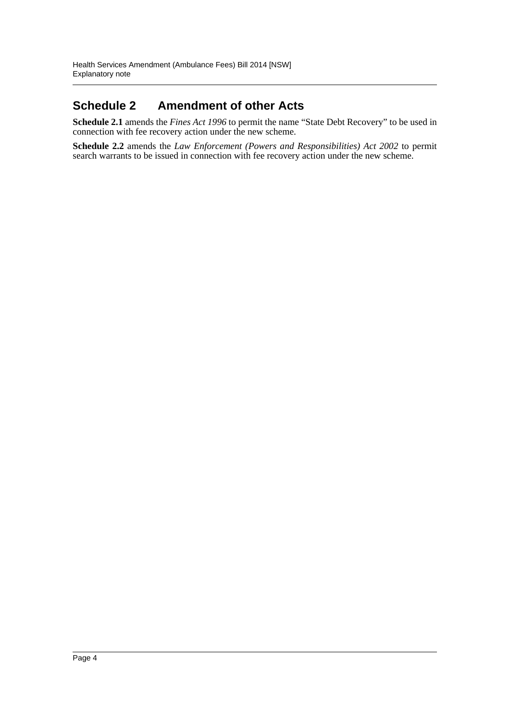## **Schedule 2 Amendment of other Acts**

**Schedule 2.1** amends the *Fines Act 1996* to permit the name "State Debt Recovery" to be used in connection with fee recovery action under the new scheme.

**Schedule 2.2** amends the *Law Enforcement (Powers and Responsibilities) Act 2002* to permit search warrants to be issued in connection with fee recovery action under the new scheme.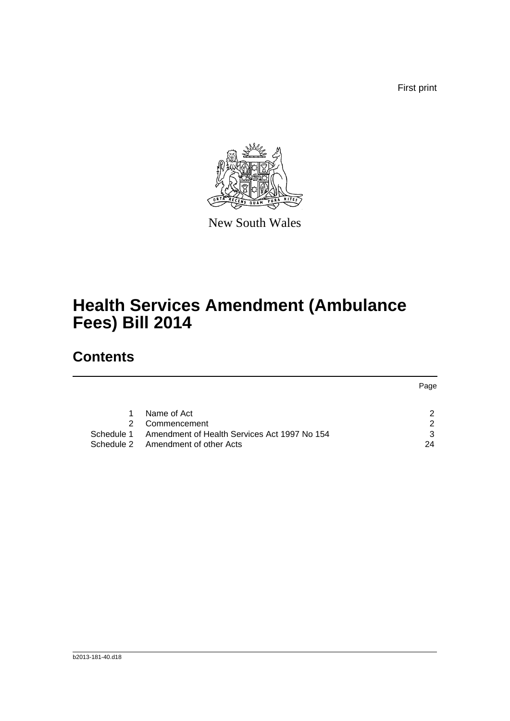First print



New South Wales

# **Health Services Amendment (Ambulance Fees) Bill 2014**

# **Contents**

|               |                                              | Page |
|---------------|----------------------------------------------|------|
|               |                                              |      |
|               |                                              |      |
|               | Name of Act                                  |      |
| $\mathcal{P}$ | Commencement                                 | ົ    |
| Schedule 1    | Amendment of Health Services Act 1997 No 154 | 3    |
|               | Schedule 2 Amendment of other Acts           | 24   |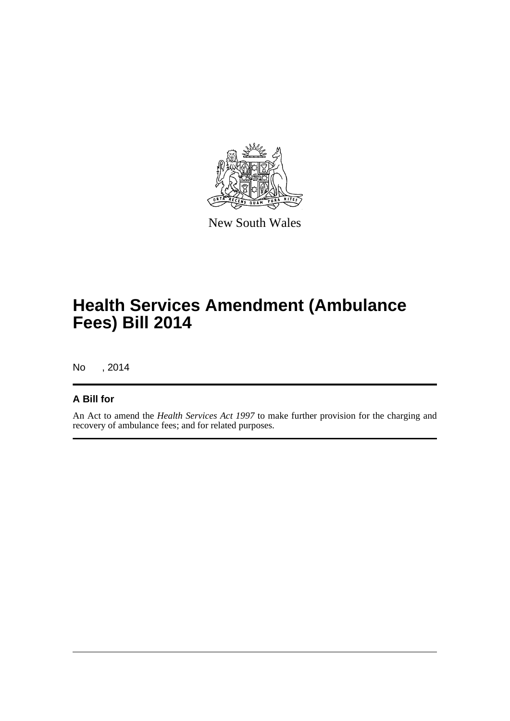

New South Wales

# **Health Services Amendment (Ambulance Fees) Bill 2014**

No , 2014

#### **A Bill for**

An Act to amend the *Health Services Act 1997* to make further provision for the charging and recovery of ambulance fees; and for related purposes.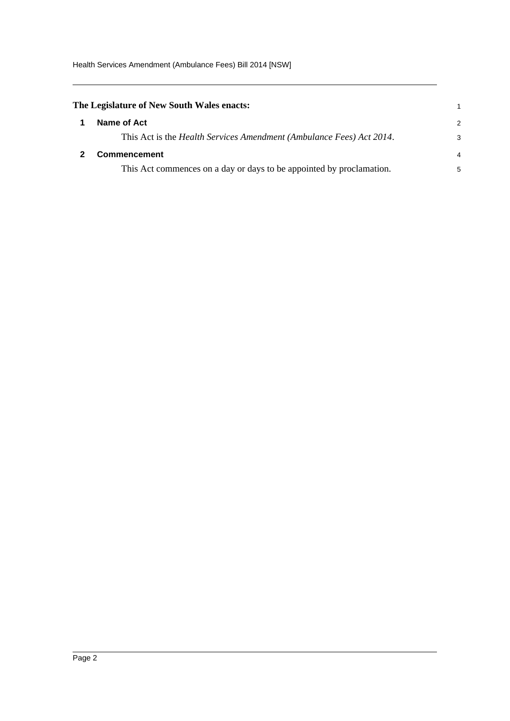<span id="page-6-1"></span><span id="page-6-0"></span>

| The Legislature of New South Wales enacts:                                   | 1             |
|------------------------------------------------------------------------------|---------------|
| Name of Act                                                                  | $\mathcal{P}$ |
| This Act is the <i>Health Services Amendment (Ambulance Fees) Act 2014</i> . | 3             |
| <b>Commencement</b>                                                          | 4             |
| This Act commences on a day or days to be appointed by proclamation.         | 5             |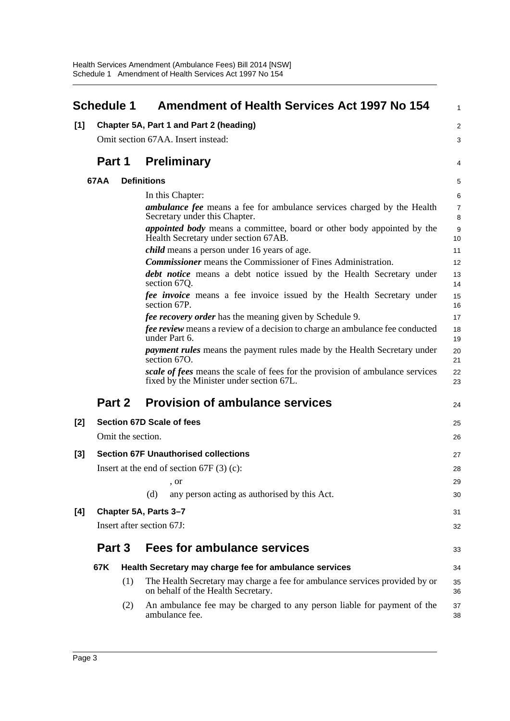<span id="page-7-0"></span>

|       | <b>Schedule 1</b> |                   | <b>Amendment of Health Services Act 1997 No 154</b>                                                                       | $\mathbf{1}$        |
|-------|-------------------|-------------------|---------------------------------------------------------------------------------------------------------------------------|---------------------|
| [1]   |                   |                   | Chapter 5A, Part 1 and Part 2 (heading)                                                                                   | $\overline{2}$      |
|       |                   |                   | Omit section 67AA. Insert instead:                                                                                        | 3                   |
|       | Part 1            |                   | <b>Preliminary</b>                                                                                                        | 4                   |
|       | <b>67AA</b>       |                   | <b>Definitions</b>                                                                                                        | 5                   |
|       |                   |                   | In this Chapter:                                                                                                          | 6                   |
|       |                   |                   | <i>ambulance fee</i> means a fee for ambulance services charged by the Health<br>Secretary under this Chapter.            | $\overline{7}$<br>8 |
|       |                   |                   | appointed body means a committee, board or other body appointed by the<br>Health Secretary under section 67AB.            | 9<br>10             |
|       |                   |                   | <i>child</i> means a person under 16 years of age.                                                                        | 11                  |
|       |                   |                   | <b>Commissioner</b> means the Commissioner of Fines Administration.                                                       | 12                  |
|       |                   |                   | <b>debt notice</b> means a debt notice issued by the Health Secretary under<br>section 67Q.                               | 13<br>14            |
|       |                   |                   | <i>fee invoice</i> means a fee invoice issued by the Health Secretary under<br>section 67P.                               | 15<br>16            |
|       |                   |                   | <i>fee recovery order</i> has the meaning given by Schedule 9.                                                            | 17                  |
|       |                   |                   | fee review means a review of a decision to charge an ambulance fee conducted<br>under Part 6.                             | 18<br>19            |
|       |                   |                   | <i>payment rules</i> means the payment rules made by the Health Secretary under<br>section $670$ .                        | 20<br>21            |
|       |                   |                   | scale of fees means the scale of fees for the provision of ambulance services<br>fixed by the Minister under section 67L. | 22<br>23            |
|       | Part 2            |                   | <b>Provision of ambulance services</b>                                                                                    | 24                  |
| $[2]$ |                   |                   | Section 67D Scale of fees                                                                                                 | 25                  |
|       |                   | Omit the section. |                                                                                                                           | 26                  |
| [3]   |                   |                   | <b>Section 67F Unauthorised collections</b>                                                                               | 27                  |
|       |                   |                   | Insert at the end of section $67F(3)(c)$ :                                                                                | 28                  |
|       |                   |                   | , or                                                                                                                      | 29                  |
|       |                   |                   | (d)<br>any person acting as authorised by this Act.                                                                       | 30                  |
| [4]   |                   |                   | Chapter 5A, Parts 3-7                                                                                                     | 31                  |
|       |                   |                   | Insert after section 67J:                                                                                                 | 32                  |
|       | Part 3            |                   | <b>Fees for ambulance services</b>                                                                                        | 33                  |
|       | 67K               |                   | Health Secretary may charge fee for ambulance services                                                                    | 34                  |
|       |                   | (1)               | The Health Secretary may charge a fee for ambulance services provided by or<br>on behalf of the Health Secretary.         | 35<br>36            |
|       |                   | (2)               | An ambulance fee may be charged to any person liable for payment of the<br>ambulance fee.                                 | 37<br>38            |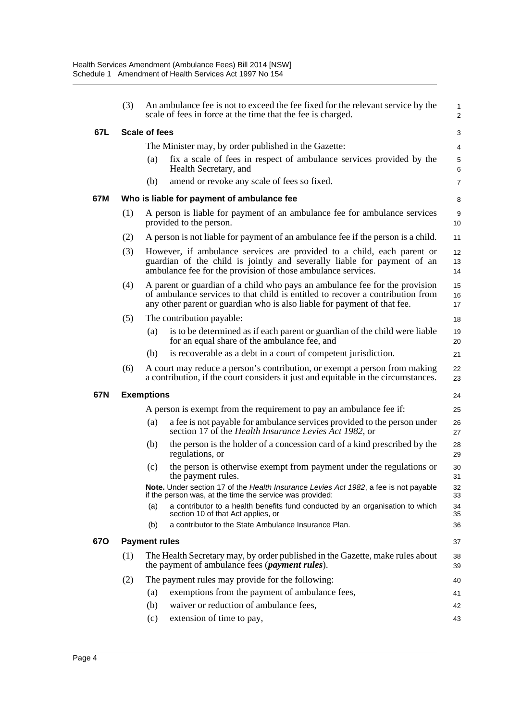|     | (3) |                      | An ambulance fee is not to exceed the fee fixed for the relevant service by the<br>scale of fees in force at the time that the fee is charged.                                                                                            | $\mathbf{1}$<br>$\overline{2}$ |
|-----|-----|----------------------|-------------------------------------------------------------------------------------------------------------------------------------------------------------------------------------------------------------------------------------------|--------------------------------|
| 67L |     | Scale of fees        |                                                                                                                                                                                                                                           | 3                              |
|     |     |                      | The Minister may, by order published in the Gazette:                                                                                                                                                                                      | 4                              |
|     |     | (a)                  | fix a scale of fees in respect of ambulance services provided by the<br>Health Secretary, and                                                                                                                                             | 5<br>6                         |
|     |     | (b)                  | amend or revoke any scale of fees so fixed.                                                                                                                                                                                               | $\overline{7}$                 |
| 67M |     |                      | Who is liable for payment of ambulance fee                                                                                                                                                                                                | 8                              |
|     | (1) |                      | A person is liable for payment of an ambulance fee for ambulance services<br>provided to the person.                                                                                                                                      | 9<br>10 <sup>1</sup>           |
|     | (2) |                      | A person is not liable for payment of an ambulance fee if the person is a child.                                                                                                                                                          | 11                             |
|     | (3) |                      | However, if ambulance services are provided to a child, each parent or<br>guardian of the child is jointly and severally liable for payment of an<br>ambulance fee for the provision of those ambulance services.                         | 12<br>13<br>14                 |
|     | (4) |                      | A parent or guardian of a child who pays an ambulance fee for the provision<br>of ambulance services to that child is entitled to recover a contribution from<br>any other parent or guardian who is also liable for payment of that fee. | 15<br>16<br>17                 |
|     | (5) |                      | The contribution payable:                                                                                                                                                                                                                 | 18                             |
|     |     | (a)                  | is to be determined as if each parent or guardian of the child were liable<br>for an equal share of the ambulance fee, and                                                                                                                | 19<br>20                       |
|     |     | (b)                  | is recoverable as a debt in a court of competent jurisdiction.                                                                                                                                                                            | 21                             |
|     | (6) |                      | A court may reduce a person's contribution, or exempt a person from making<br>a contribution, if the court considers it just and equitable in the circumstances.                                                                          | 22<br>23                       |
| 67N |     | <b>Exemptions</b>    |                                                                                                                                                                                                                                           | 24                             |
|     |     |                      | A person is exempt from the requirement to pay an ambulance fee if:                                                                                                                                                                       | 25                             |
|     |     | (a)                  | a fee is not payable for ambulance services provided to the person under<br>section 17 of the Health Insurance Levies Act 1982, or                                                                                                        | 26<br>27                       |
|     |     | (b)                  | the person is the holder of a concession card of a kind prescribed by the<br>regulations, or                                                                                                                                              | 28<br>29                       |
|     |     | (c)                  | the person is otherwise exempt from payment under the regulations or<br>the payment rules.                                                                                                                                                | 30<br>31                       |
|     |     |                      | Note. Under section 17 of the Health Insurance Levies Act 1982, a fee is not payable<br>if the person was, at the time the service was provided:                                                                                          | 32<br>33                       |
|     |     | (a)                  | a contributor to a health benefits fund conducted by an organisation to which<br>section 10 of that Act applies, or                                                                                                                       | 34<br>35                       |
|     |     | (b)                  | a contributor to the State Ambulance Insurance Plan.                                                                                                                                                                                      | 36                             |
| 67O |     | <b>Payment rules</b> |                                                                                                                                                                                                                                           | 37                             |
|     | (1) |                      | The Health Secretary may, by order published in the Gazette, make rules about<br>the payment of ambulance fees ( <i>payment rules</i> ).                                                                                                  | 38<br>39                       |
|     | (2) |                      | The payment rules may provide for the following:                                                                                                                                                                                          | 40                             |
|     |     | (a)                  | exemptions from the payment of ambulance fees,                                                                                                                                                                                            | 41                             |
|     |     | (b)                  | waiver or reduction of ambulance fees,                                                                                                                                                                                                    | 42                             |
|     |     | (c)                  | extension of time to pay,                                                                                                                                                                                                                 | 43                             |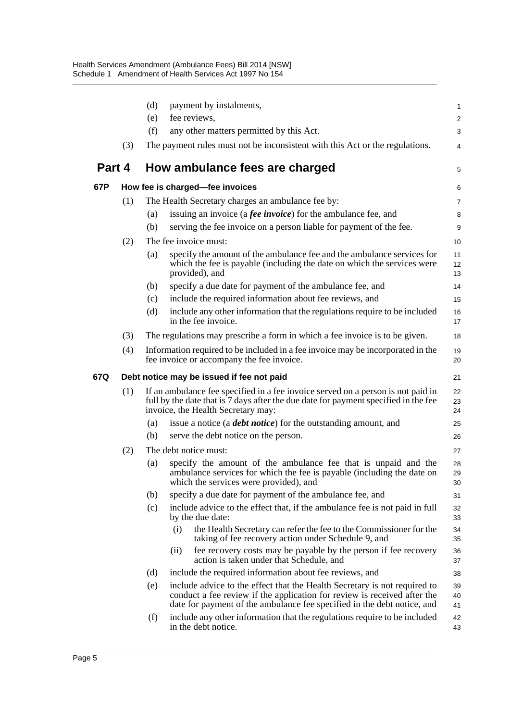|        |     | (d) | payment by instalments,                                                                                                                                                                                                          | 1              |
|--------|-----|-----|----------------------------------------------------------------------------------------------------------------------------------------------------------------------------------------------------------------------------------|----------------|
|        |     | (e) | fee reviews,                                                                                                                                                                                                                     | $\overline{2}$ |
|        |     | (f) | any other matters permitted by this Act.                                                                                                                                                                                         | 3              |
|        | (3) |     | The payment rules must not be inconsistent with this Act or the regulations.                                                                                                                                                     | 4              |
| Part 4 |     |     | How ambulance fees are charged                                                                                                                                                                                                   | 5              |
| 67P    |     |     | How fee is charged-fee invoices                                                                                                                                                                                                  | 6              |
|        | (1) |     | The Health Secretary charges an ambulance fee by:                                                                                                                                                                                | $\overline{7}$ |
|        |     | (a) | issuing an invoice (a <i>fee invoice</i> ) for the ambulance fee, and                                                                                                                                                            | 8              |
|        |     | (b) | serving the fee invoice on a person liable for payment of the fee.                                                                                                                                                               | 9              |
|        | (2) |     | The fee invoice must:                                                                                                                                                                                                            | 10             |
|        |     | (a) | specify the amount of the ambulance fee and the ambulance services for<br>which the fee is payable (including the date on which the services were<br>provided), and                                                              | 11<br>12<br>13 |
|        |     | (b) | specify a due date for payment of the ambulance fee, and                                                                                                                                                                         | 14             |
|        |     | (c) | include the required information about fee reviews, and                                                                                                                                                                          | 15             |
|        |     | (d) | include any other information that the regulations require to be included<br>in the fee invoice.                                                                                                                                 | 16<br>17       |
|        | (3) |     | The regulations may prescribe a form in which a fee invoice is to be given.                                                                                                                                                      | 18             |
|        | (4) |     | Information required to be included in a fee invoice may be incorporated in the<br>fee invoice or accompany the fee invoice.                                                                                                     | 19<br>20       |
| 67Q.   |     |     | Debt notice may be issued if fee not paid                                                                                                                                                                                        | 21             |
|        | (1) |     | If an ambulance fee specified in a fee invoice served on a person is not paid in<br>full by the date that is 7 days after the due date for payment specified in the fee<br>invoice, the Health Secretary may:                    | 22<br>23<br>24 |
|        |     | (a) | issue a notice (a <b><i>debt notice</i></b> ) for the outstanding amount, and                                                                                                                                                    | 25             |
|        |     | (b) | serve the debt notice on the person.                                                                                                                                                                                             | 26             |
|        | (2) |     | The debt notice must:                                                                                                                                                                                                            | 27             |
|        |     | (a) | specify the amount of the ambulance fee that is unpaid and the<br>ambulance services for which the fee is payable (including the date on<br>which the services were provided), and                                               | 28<br>29<br>30 |
|        |     | (b) | specify a due date for payment of the ambulance fee, and                                                                                                                                                                         | 31             |
|        |     | (c) | include advice to the effect that, if the ambulance fee is not paid in full<br>by the due date:                                                                                                                                  | 32<br>33       |
|        |     |     | (i)<br>the Health Secretary can refer the fee to the Commissioner for the<br>taking of fee recovery action under Schedule 9, and                                                                                                 | 34<br>35       |
|        |     |     | fee recovery costs may be payable by the person if fee recovery<br>(ii)<br>action is taken under that Schedule, and                                                                                                              | 36<br>37       |
|        |     | (d) | include the required information about fee reviews, and                                                                                                                                                                          | 38             |
|        |     | (e) | include advice to the effect that the Health Secretary is not required to<br>conduct a fee review if the application for review is received after the<br>date for payment of the ambulance fee specified in the debt notice, and | 39<br>40<br>41 |
|        |     | (f) | include any other information that the regulations require to be included<br>in the debt notice.                                                                                                                                 | 42<br>43       |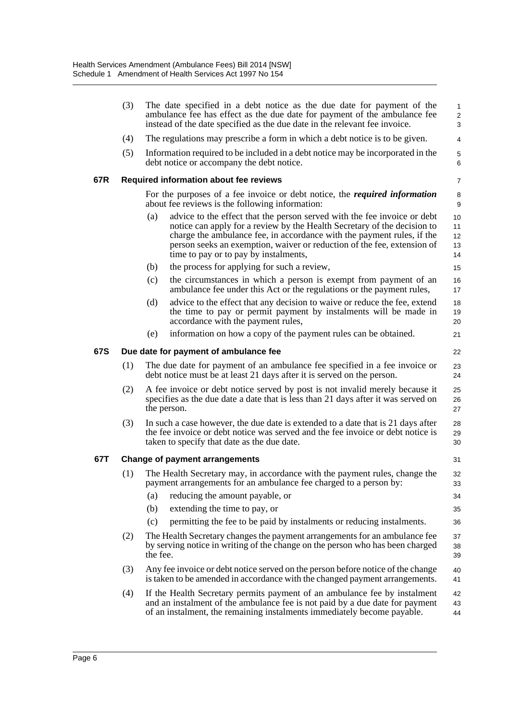|     | (3)                                           |                                       | The date specified in a debt notice as the due date for payment of the<br>ambulance fee has effect as the due date for payment of the ambulance fee<br>instead of the date specified as the due date in the relevant fee invoice.                                                                                                                  | 1<br>$\overline{\mathbf{c}}$<br>3 |  |  |  |
|-----|-----------------------------------------------|---------------------------------------|----------------------------------------------------------------------------------------------------------------------------------------------------------------------------------------------------------------------------------------------------------------------------------------------------------------------------------------------------|-----------------------------------|--|--|--|
|     | (4)                                           |                                       | The regulations may prescribe a form in which a debt notice is to be given.                                                                                                                                                                                                                                                                        | $\overline{4}$                    |  |  |  |
|     | (5)                                           |                                       | Information required to be included in a debt notice may be incorporated in the<br>debt notice or accompany the debt notice.                                                                                                                                                                                                                       | 5<br>6                            |  |  |  |
| 67R | <b>Required information about fee reviews</b> |                                       |                                                                                                                                                                                                                                                                                                                                                    |                                   |  |  |  |
|     |                                               |                                       | For the purposes of a fee invoice or debt notice, the <i>required information</i><br>about fee reviews is the following information:                                                                                                                                                                                                               | 8<br>9                            |  |  |  |
|     |                                               | (a)                                   | advice to the effect that the person served with the fee invoice or debt<br>notice can apply for a review by the Health Secretary of the decision to<br>charge the ambulance fee, in accordance with the payment rules, if the<br>person seeks an exemption, waiver or reduction of the fee, extension of<br>time to pay or to pay by instalments, | 10<br>11<br>12<br>13<br>14        |  |  |  |
|     |                                               | (b)                                   | the process for applying for such a review,                                                                                                                                                                                                                                                                                                        | 15                                |  |  |  |
|     |                                               | (c)                                   | the circumstances in which a person is exempt from payment of an<br>ambulance fee under this Act or the regulations or the payment rules,                                                                                                                                                                                                          | 16<br>17                          |  |  |  |
|     |                                               | (d)                                   | advice to the effect that any decision to waive or reduce the fee, extend<br>the time to pay or permit payment by instalments will be made in<br>accordance with the payment rules,                                                                                                                                                                | 18<br>19<br>20                    |  |  |  |
|     |                                               | (e)                                   | information on how a copy of the payment rules can be obtained.                                                                                                                                                                                                                                                                                    | 21                                |  |  |  |
| 67S |                                               | Due date for payment of ambulance fee |                                                                                                                                                                                                                                                                                                                                                    |                                   |  |  |  |
|     | (1)                                           |                                       | The due date for payment of an ambulance fee specified in a fee invoice or<br>debt notice must be at least 21 days after it is served on the person.                                                                                                                                                                                               | 23<br>24                          |  |  |  |
|     | (2)                                           |                                       | A fee invoice or debt notice served by post is not invalid merely because it<br>specifies as the due date a date that is less than 21 days after it was served on<br>the person.                                                                                                                                                                   | 25<br>26<br>27                    |  |  |  |
|     | (3)                                           |                                       | In such a case however, the due date is extended to a date that is 21 days after<br>the fee invoice or debt notice was served and the fee invoice or debt notice is<br>taken to specify that date as the due date.                                                                                                                                 | 28<br>29<br>30                    |  |  |  |
| 67T |                                               |                                       | <b>Change of payment arrangements</b>                                                                                                                                                                                                                                                                                                              | 31                                |  |  |  |
|     | (1)                                           |                                       | The Health Secretary may, in accordance with the payment rules, change the<br>payment arrangements for an ambulance fee charged to a person by:                                                                                                                                                                                                    | 32<br>33                          |  |  |  |
|     |                                               | (a)                                   | reducing the amount payable, or                                                                                                                                                                                                                                                                                                                    | 34                                |  |  |  |
|     |                                               | (b)                                   | extending the time to pay, or                                                                                                                                                                                                                                                                                                                      | 35                                |  |  |  |
|     |                                               | (c)                                   | permitting the fee to be paid by instalments or reducing instalments.                                                                                                                                                                                                                                                                              | 36                                |  |  |  |
|     | (2)                                           | the fee.                              | The Health Secretary changes the payment arrangements for an ambulance fee<br>by serving notice in writing of the change on the person who has been charged                                                                                                                                                                                        | 37<br>38<br>39                    |  |  |  |
|     | (3)                                           |                                       | Any fee invoice or debt notice served on the person before notice of the change<br>is taken to be amended in accordance with the changed payment arrangements.                                                                                                                                                                                     | 40<br>41                          |  |  |  |
|     | (4)                                           |                                       | If the Health Secretary permits payment of an ambulance fee by instalment<br>and an instalment of the ambulance fee is not paid by a due date for payment<br>of an instalment, the remaining instalments immediately become payable.                                                                                                               | 42<br>43<br>44                    |  |  |  |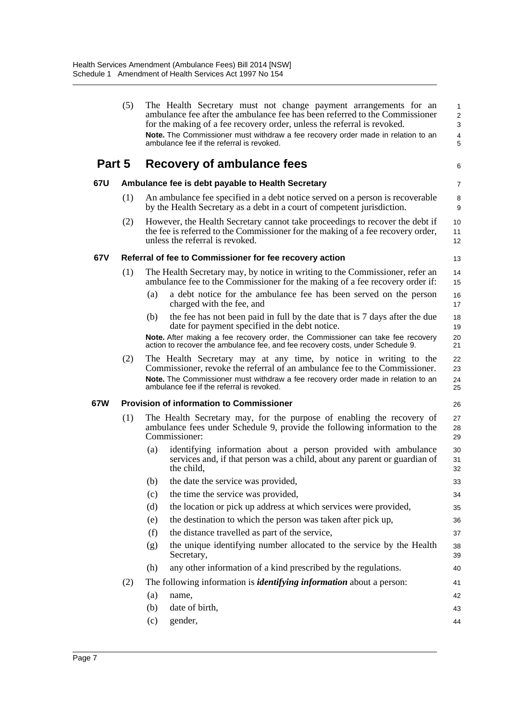|        | (5) | The Health Secretary must not change payment arrangements for an<br>ambulance fee after the ambulance fee has been referred to the Commissioner<br>for the making of a fee recovery order, unless the referral is revoked.<br>Note. The Commissioner must withdraw a fee recovery order made in relation to an<br>ambulance fee if the referral is revoked. | 1<br>$\overline{c}$<br>3<br>4<br>5 |
|--------|-----|-------------------------------------------------------------------------------------------------------------------------------------------------------------------------------------------------------------------------------------------------------------------------------------------------------------------------------------------------------------|------------------------------------|
| Part 5 |     | Recovery of ambulance fees                                                                                                                                                                                                                                                                                                                                  | 6                                  |
| 67U    |     | Ambulance fee is debt payable to Health Secretary                                                                                                                                                                                                                                                                                                           | 7                                  |
|        | (1) | An ambulance fee specified in a debt notice served on a person is recoverable<br>by the Health Secretary as a debt in a court of competent jurisdiction.                                                                                                                                                                                                    | 8<br>9                             |
|        | (2) | However, the Health Secretary cannot take proceedings to recover the debt if<br>the fee is referred to the Commissioner for the making of a fee recovery order,<br>unless the referral is revoked.                                                                                                                                                          | 10<br>11<br>12                     |
| 67V    |     | Referral of fee to Commissioner for fee recovery action                                                                                                                                                                                                                                                                                                     | 13                                 |
|        | (1) | The Health Secretary may, by notice in writing to the Commissioner, refer an<br>ambulance fee to the Commissioner for the making of a fee recovery order if:                                                                                                                                                                                                | 14<br>15                           |
|        |     | a debt notice for the ambulance fee has been served on the person<br>(a)<br>charged with the fee, and                                                                                                                                                                                                                                                       | 16<br>17                           |
|        |     | the fee has not been paid in full by the date that is 7 days after the due<br>(b)<br>date for payment specified in the debt notice.                                                                                                                                                                                                                         | 18<br>19                           |
|        |     | Note. After making a fee recovery order, the Commissioner can take fee recovery<br>action to recover the ambulance fee, and fee recovery costs, under Schedule 9.                                                                                                                                                                                           | 20<br>21                           |
|        | (2) | The Health Secretary may at any time, by notice in writing to the<br>Commissioner, revoke the referral of an ambulance fee to the Commissioner.<br>Note. The Commissioner must withdraw a fee recovery order made in relation to an<br>ambulance fee if the referral is revoked.                                                                            | 22<br>23<br>24<br>25               |
| 67W    |     | <b>Provision of information to Commissioner</b>                                                                                                                                                                                                                                                                                                             | 26                                 |
|        | (1) | The Health Secretary may, for the purpose of enabling the recovery of<br>ambulance fees under Schedule 9, provide the following information to the<br>Commissioner:                                                                                                                                                                                         | 27<br>28<br>29                     |
|        |     | identifying information about a person provided with ambulance<br>(a)<br>services and, if that person was a child, about any parent or guardian of<br>the child,                                                                                                                                                                                            | 30<br>31<br>32                     |
|        |     | (b) the date the service was provided,                                                                                                                                                                                                                                                                                                                      | 33                                 |
|        |     | the time the service was provided,<br>(c)                                                                                                                                                                                                                                                                                                                   | 34                                 |
|        |     | (d)<br>the location or pick up address at which services were provided,                                                                                                                                                                                                                                                                                     | 35                                 |
|        |     | the destination to which the person was taken after pick up,<br>(e)                                                                                                                                                                                                                                                                                         | 36                                 |
|        |     | the distance travelled as part of the service,<br>(f)                                                                                                                                                                                                                                                                                                       | 37                                 |
|        |     | the unique identifying number allocated to the service by the Health<br>(g)<br>Secretary,                                                                                                                                                                                                                                                                   | 38<br>39                           |
|        |     | any other information of a kind prescribed by the regulations.<br>(h)                                                                                                                                                                                                                                                                                       | 40                                 |
|        | (2) | The following information is <i>identifying information</i> about a person:                                                                                                                                                                                                                                                                                 | 41                                 |
|        |     | (a)<br>name,                                                                                                                                                                                                                                                                                                                                                | 42                                 |
|        |     | date of birth,<br>(b)                                                                                                                                                                                                                                                                                                                                       | 43                                 |
|        |     | gender,<br>(c)                                                                                                                                                                                                                                                                                                                                              | 44                                 |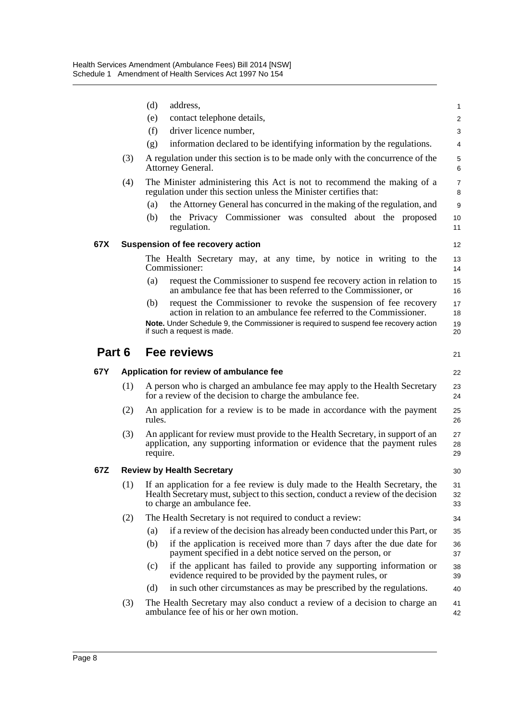|        |     | (d)      | address,                                                                                                                                                                                        | 1                   |
|--------|-----|----------|-------------------------------------------------------------------------------------------------------------------------------------------------------------------------------------------------|---------------------|
|        |     | (e)      | contact telephone details,                                                                                                                                                                      | 2                   |
|        |     | (f)      | driver licence number,                                                                                                                                                                          | 3                   |
|        |     | (g)      | information declared to be identifying information by the regulations.                                                                                                                          | 4                   |
|        | (3) |          | A regulation under this section is to be made only with the concurrence of the<br>Attorney General.                                                                                             | $\mathbf 5$<br>6    |
|        | (4) |          | The Minister administering this Act is not to recommend the making of a<br>regulation under this section unless the Minister certifies that:                                                    | $\overline{7}$<br>8 |
|        |     | (a)      | the Attorney General has concurred in the making of the regulation, and                                                                                                                         | 9                   |
|        |     | (b)      | the Privacy Commissioner was consulted about the proposed<br>regulation.                                                                                                                        | 10<br>11            |
| 67X    |     |          | Suspension of fee recovery action                                                                                                                                                               | $12 \overline{ }$   |
|        |     |          | The Health Secretary may, at any time, by notice in writing to the<br>Commissioner:                                                                                                             | 13<br>14            |
|        |     | (a)      | request the Commissioner to suspend fee recovery action in relation to<br>an ambulance fee that has been referred to the Commissioner, or                                                       | 15<br>16            |
|        |     | (b)      | request the Commissioner to revoke the suspension of fee recovery<br>action in relation to an ambulance fee referred to the Commissioner.                                                       | 17<br>18            |
|        |     |          | Note. Under Schedule 9, the Commissioner is required to suspend fee recovery action<br>if such a request is made.                                                                               | 19<br>20            |
| Part 6 |     |          | Fee reviews                                                                                                                                                                                     | 21                  |
|        |     |          |                                                                                                                                                                                                 |                     |
| 67Y    |     |          | Application for review of ambulance fee                                                                                                                                                         | 22                  |
|        | (1) |          | A person who is charged an ambulance fee may apply to the Health Secretary<br>for a review of the decision to charge the ambulance fee.                                                         | 23<br>24            |
|        | (2) | rules.   | An application for a review is to be made in accordance with the payment                                                                                                                        | 25<br>26            |
|        | (3) | require. | An applicant for review must provide to the Health Secretary, in support of an<br>application, any supporting information or evidence that the payment rules                                    | 27<br>28<br>29      |
| 67Z    |     |          | <b>Review by Health Secretary</b>                                                                                                                                                               | 30                  |
|        | (1) |          | If an application for a fee review is duly made to the Health Secretary, the<br>Health Secretary must, subject to this section, conduct a review of the decision<br>to charge an ambulance fee. | 31<br>32<br>33      |
|        | (2) |          | The Health Secretary is not required to conduct a review:                                                                                                                                       | 34                  |
|        |     | (a)      | if a review of the decision has already been conducted under this Part, or                                                                                                                      | 35                  |
|        |     | (b)      | if the application is received more than 7 days after the due date for<br>payment specified in a debt notice served on the person, or                                                           | 36<br>37            |
|        |     | (c)      | if the applicant has failed to provide any supporting information or<br>evidence required to be provided by the payment rules, or                                                               | 38<br>39            |
|        |     | (d)      | in such other circumstances as may be prescribed by the regulations.                                                                                                                            | 40                  |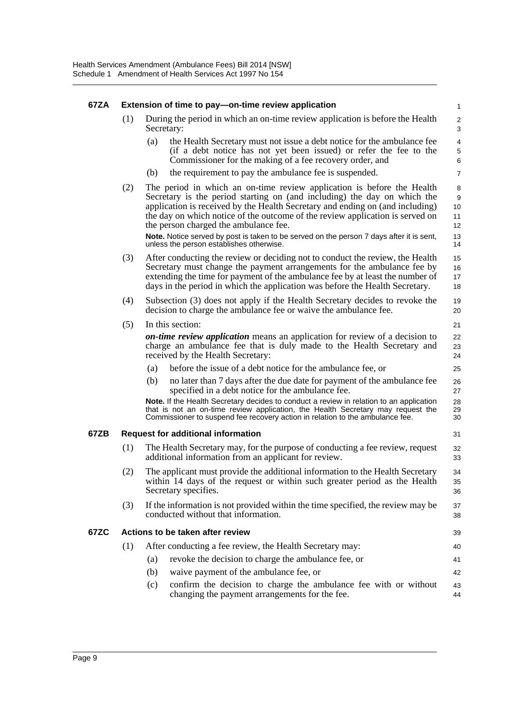#### **67ZA Extension of time to pay—on-time review application** (1) During the period in which an on-time review application is before the Health Secretary: (a) the Health Secretary must not issue a debt notice for the ambulance fee (if a debt notice has not yet been issued) or refer the fee to the Commissioner for the making of a fee recovery order, and (b) the requirement to pay the ambulance fee is suspended. (2) The period in which an on-time review application is before the Health Secretary is the period starting on (and including) the day on which the application is received by the Health Secretary and ending on (and including) the day on which notice of the outcome of the review application is served on the person charged the ambulance fee. **Note.** Notice served by post is taken to be served on the person 7 days after it is sent, unless the person establishes otherwise. (3) After conducting the review or deciding not to conduct the review, the Health Secretary must change the payment arrangements for the ambulance fee by extending the time for payment of the ambulance fee by at least the number of days in the period in which the application was before the Health Secretary. (4) Subsection (3) does not apply if the Health Secretary decides to revoke the decision to charge the ambulance fee or waive the ambulance fee. (5) In this section: *on-time review application* means an application for review of a decision to charge an ambulance fee that is duly made to the Health Secretary and received by the Health Secretary: (a) before the issue of a debt notice for the ambulance fee, or (b) no later than 7 days after the due date for payment of the ambulance fee specified in a debt notice for the ambulance fee. **Note.** If the Health Secretary decides to conduct a review in relation to an application that is not an on-time review application, the Health Secretary may request the Commissioner to suspend fee recovery action in relation to the ambulance fee. **67ZB Request for additional information** (1) The Health Secretary may, for the purpose of conducting a fee review, request additional information from an applicant for review. (2) The applicant must provide the additional information to the Health Secretary within 14 days of the request or within such greater period as the Health Secretary specifies. (3) If the information is not provided within the time specified, the review may be conducted without that information. **67ZC Actions to be taken after review** (1) After conducting a fee review, the Health Secretary may: (a) revoke the decision to charge the ambulance fee, or (b) waive payment of the ambulance fee, or (c) confirm the decision to charge the ambulance fee with or without changing the payment arrangements for the fee. 1  $\mathfrak{p}$ 3 4 5 6 7 8 9 10 11 12 13 14 15 16 17 18 19 20 21 22 23 24 25 26 27 28 29 30 31  $22$ 33 34 35 36 37 38 39 40 41 42 43 44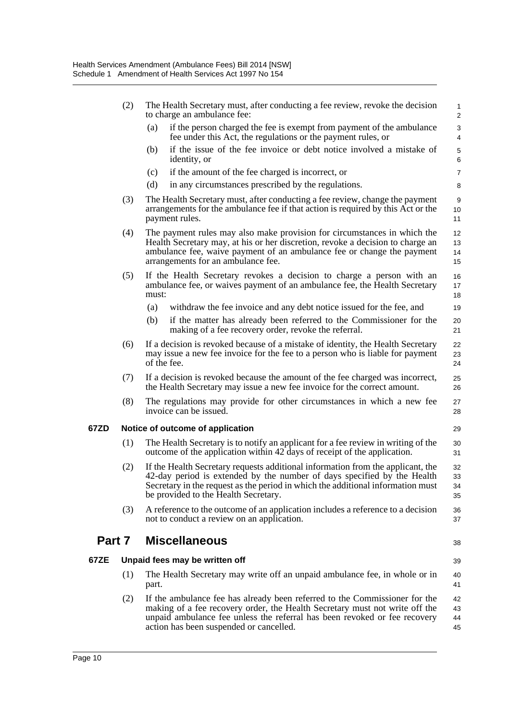|        | (2) | The Health Secretary must, after conducting a fee review, revoke the decision<br>to charge an ambulance fee:                                                                                                                                                                          | $\mathbf{1}$<br>$\overline{2}$ |
|--------|-----|---------------------------------------------------------------------------------------------------------------------------------------------------------------------------------------------------------------------------------------------------------------------------------------|--------------------------------|
|        |     | if the person charged the fee is exempt from payment of the ambulance<br>(a)<br>fee under this Act, the regulations or the payment rules, or                                                                                                                                          | 3<br>4                         |
|        |     | if the issue of the fee invoice or debt notice involved a mistake of<br>(b)<br>identity, or                                                                                                                                                                                           | $\mathbf 5$<br>6               |
|        |     | if the amount of the fee charged is incorrect, or<br>(c)                                                                                                                                                                                                                              | $\overline{7}$                 |
|        |     | (d)<br>in any circumstances prescribed by the regulations.                                                                                                                                                                                                                            | 8                              |
|        | (3) | The Health Secretary must, after conducting a fee review, change the payment<br>arrangements for the ambulance fee if that action is required by this Act or the<br>payment rules.                                                                                                    | 9<br>10<br>11                  |
|        | (4) | The payment rules may also make provision for circumstances in which the<br>Health Secretary may, at his or her discretion, revoke a decision to charge an<br>ambulance fee, waive payment of an ambulance fee or change the payment<br>arrangements for an ambulance fee.            | 12<br>13<br>14<br>15           |
|        | (5) | If the Health Secretary revokes a decision to charge a person with an<br>ambulance fee, or waives payment of an ambulance fee, the Health Secretary<br>must:                                                                                                                          | 16<br>17<br>18                 |
|        |     | (a)<br>withdraw the fee invoice and any debt notice issued for the fee, and                                                                                                                                                                                                           | 19                             |
|        |     | if the matter has already been referred to the Commissioner for the<br>(b)<br>making of a fee recovery order, revoke the referral.                                                                                                                                                    | 20<br>21                       |
|        | (6) | If a decision is revoked because of a mistake of identity, the Health Secretary<br>may issue a new fee invoice for the fee to a person who is liable for payment<br>of the fee.                                                                                                       | 22<br>23<br>24                 |
|        | (7) | If a decision is revoked because the amount of the fee charged was incorrect,<br>the Health Secretary may issue a new fee invoice for the correct amount.                                                                                                                             | 25<br>26                       |
|        | (8) | The regulations may provide for other circumstances in which a new fee<br>invoice can be issued.                                                                                                                                                                                      | 27<br>28                       |
| 67ZD   |     | Notice of outcome of application                                                                                                                                                                                                                                                      | 29                             |
|        | (1) | The Health Secretary is to notify an applicant for a fee review in writing of the<br>outcome of the application within 42 days of receipt of the application.                                                                                                                         | 30<br>31                       |
|        | (2) | If the Health Secretary requests additional information from the applicant, the<br>42-day period is extended by the number of days specified by the Health<br>Secretary in the request as the period in which the additional information must<br>be provided to the Health Secretary. | 32<br>33<br>34<br>35           |
|        | (3) | A reference to the outcome of an application includes a reference to a decision<br>not to conduct a review on an application.                                                                                                                                                         | 36<br>37                       |
| Part 7 |     | <b>Miscellaneous</b>                                                                                                                                                                                                                                                                  | 38                             |
| 67ZE   |     | Unpaid fees may be written off                                                                                                                                                                                                                                                        | 39                             |
|        | (1) | The Health Secretary may write off an unpaid ambulance fee, in whole or in<br>part.                                                                                                                                                                                                   | 40<br>41                       |
|        | (2) | If the ambulance fee has already been referred to the Commissioner for the<br>making of a fee recovery order, the Health Secretary must not write off the<br>unpaid ambulance fee unless the referral has been revoked or fee recovery<br>action has been suspended or cancelled.     | 42<br>43<br>44<br>45           |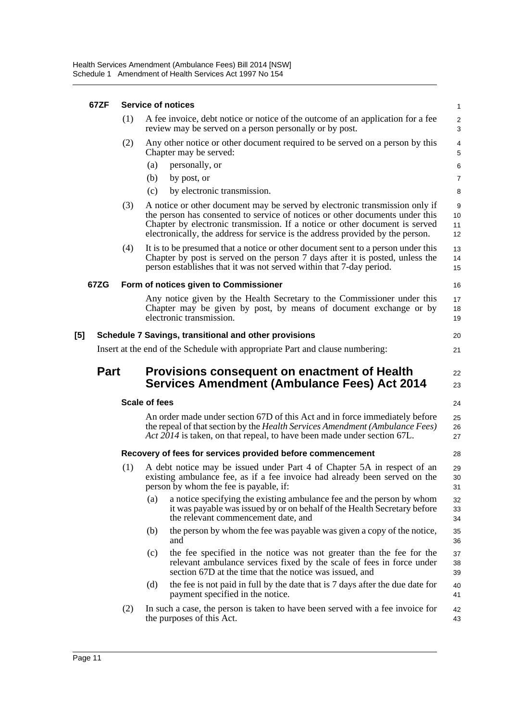#### **67ZF Service of notices**

| 67ZF        |     | <b>Service of notices</b> |                                                                                                                                                                                                                                                                                                                              | $\mathbf{1}$                 |
|-------------|-----|---------------------------|------------------------------------------------------------------------------------------------------------------------------------------------------------------------------------------------------------------------------------------------------------------------------------------------------------------------------|------------------------------|
|             | (1) |                           | A fee invoice, debt notice or notice of the outcome of an application for a fee<br>review may be served on a person personally or by post.                                                                                                                                                                                   | $\sqrt{2}$<br>3              |
|             | (2) |                           | Any other notice or other document required to be served on a person by this<br>Chapter may be served:                                                                                                                                                                                                                       | $\overline{4}$<br>$\sqrt{5}$ |
|             |     | (a)                       | personally, or                                                                                                                                                                                                                                                                                                               | 6                            |
|             |     | (b)                       | by post, or                                                                                                                                                                                                                                                                                                                  | $\overline{7}$               |
|             |     | (c)                       | by electronic transmission.                                                                                                                                                                                                                                                                                                  | 8                            |
|             | (3) |                           | A notice or other document may be served by electronic transmission only if<br>the person has consented to service of notices or other documents under this<br>Chapter by electronic transmission. If a notice or other document is served<br>electronically, the address for service is the address provided by the person. | 9<br>10<br>11<br>12          |
|             | (4) |                           | It is to be presumed that a notice or other document sent to a person under this<br>Chapter by post is served on the person 7 days after it is posted, unless the<br>person establishes that it was not served within that 7-day period.                                                                                     | 13<br>14<br>15               |
| 67ZG        |     |                           | Form of notices given to Commissioner                                                                                                                                                                                                                                                                                        | 16                           |
|             |     |                           | Any notice given by the Health Secretary to the Commissioner under this<br>Chapter may be given by post, by means of document exchange or by<br>electronic transmission.                                                                                                                                                     | 17<br>18<br>19               |
| [5]         |     |                           | Schedule 7 Savings, transitional and other provisions                                                                                                                                                                                                                                                                        | 20                           |
|             |     |                           | Insert at the end of the Schedule with appropriate Part and clause numbering:                                                                                                                                                                                                                                                | 21                           |
|             |     |                           |                                                                                                                                                                                                                                                                                                                              |                              |
| <b>Part</b> |     |                           | Provisions consequent on enactment of Health<br><b>Services Amendment (Ambulance Fees) Act 2014</b>                                                                                                                                                                                                                          | 22<br>23                     |
|             |     | <b>Scale of fees</b>      |                                                                                                                                                                                                                                                                                                                              | 24                           |
|             |     |                           | An order made under section 67D of this Act and in force immediately before<br>the repeal of that section by the Health Services Amendment (Ambulance Fees)<br>Act 2014 is taken, on that repeal, to have been made under section 67L.                                                                                       | 25<br>26<br>27               |
|             |     |                           | Recovery of fees for services provided before commencement                                                                                                                                                                                                                                                                   | 28                           |
|             | (1) |                           | A debt notice may be issued under Part 4 of Chapter 5A in respect of an<br>existing ambulance fee, as if a fee invoice had already been served on the<br>person by whom the fee is payable, if:                                                                                                                              | 29<br>30<br>31               |
|             |     | (a)                       | a notice specifying the existing ambulance fee and the person by whom<br>it was payable was issued by or on behalf of the Health Secretary before<br>the relevant commencement date, and                                                                                                                                     | 32<br>33<br>34               |
|             |     | (b)                       | the person by whom the fee was payable was given a copy of the notice,<br>and                                                                                                                                                                                                                                                | 35<br>36                     |
|             |     | (c)                       | the fee specified in the notice was not greater than the fee for the<br>relevant ambulance services fixed by the scale of fees in force under<br>section 67D at the time that the notice was issued, and                                                                                                                     | 37<br>38<br>39               |
|             |     | (d)                       | the fee is not paid in full by the date that is 7 days after the due date for<br>payment specified in the notice.                                                                                                                                                                                                            | 40<br>41                     |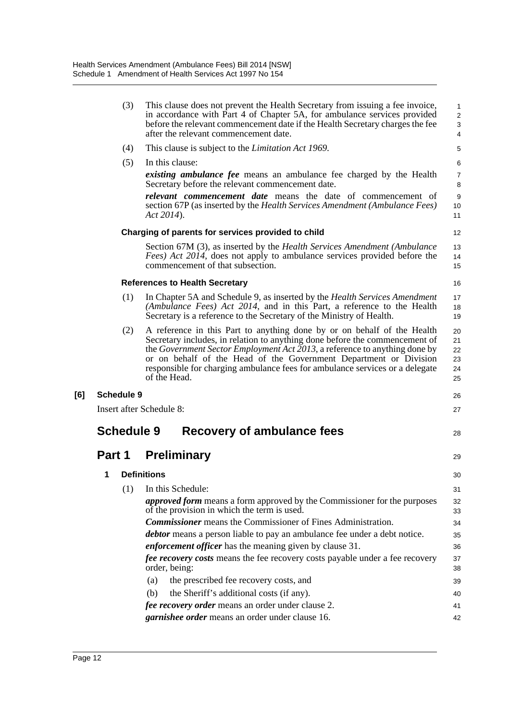|     |        | (3)               | This clause does not prevent the Health Secretary from issuing a fee invoice,<br>in accordance with Part 4 of Chapter 5A, for ambulance services provided<br>before the relevant commencement date if the Health Secretary charges the fee<br>after the relevant commencement date.                                                                                                                       | $\mathbf{1}$<br>$\overline{2}$<br>3<br>4 |
|-----|--------|-------------------|-----------------------------------------------------------------------------------------------------------------------------------------------------------------------------------------------------------------------------------------------------------------------------------------------------------------------------------------------------------------------------------------------------------|------------------------------------------|
|     |        | (4)               | This clause is subject to the Limitation Act 1969.                                                                                                                                                                                                                                                                                                                                                        | 5                                        |
|     |        | (5)               | In this clause:<br><i>existing ambulance fee</i> means an ambulance fee charged by the Health<br>Secretary before the relevant commencement date.                                                                                                                                                                                                                                                         | 6<br>$\overline{7}$<br>8                 |
|     |        |                   | <i>relevant commencement date</i> means the date of commencement of<br>section 67P (as inserted by the Health Services Amendment (Ambulance Fees)<br>Act 2014).                                                                                                                                                                                                                                           | 9<br>10<br>11                            |
|     |        |                   | Charging of parents for services provided to child                                                                                                                                                                                                                                                                                                                                                        | 12                                       |
|     |        |                   | Section 67M (3), as inserted by the Health Services Amendment (Ambulance<br><i>Fees</i> ) Act 2014, does not apply to ambulance services provided before the<br>commencement of that subsection.                                                                                                                                                                                                          | 13<br>14<br>15                           |
|     |        |                   | <b>References to Health Secretary</b>                                                                                                                                                                                                                                                                                                                                                                     | 16                                       |
|     |        | (1)               | In Chapter 5A and Schedule 9, as inserted by the <i>Health Services Amendment</i><br>(Ambulance Fees) Act 2014, and in this Part, a reference to the Health<br>Secretary is a reference to the Secretary of the Ministry of Health.                                                                                                                                                                       | 17<br>18<br>19                           |
|     |        | (2)               | A reference in this Part to anything done by or on behalf of the Health<br>Secretary includes, in relation to anything done before the commencement of<br>the Government Sector Employment Act 2013, a reference to anything done by<br>or on behalf of the Head of the Government Department or Division<br>responsible for charging ambulance fees for ambulance services or a delegate<br>of the Head. | 20<br>21<br>22<br>23<br>24<br>25         |
| [6] |        | <b>Schedule 9</b> |                                                                                                                                                                                                                                                                                                                                                                                                           | 26                                       |
|     |        |                   | <b>Insert after Schedule 8:</b>                                                                                                                                                                                                                                                                                                                                                                           | 27                                       |
|     |        | <b>Schedule 9</b> | Recovery of ambulance fees                                                                                                                                                                                                                                                                                                                                                                                | 28                                       |
|     | Part 1 |                   | <b>Preliminary</b>                                                                                                                                                                                                                                                                                                                                                                                        | 29                                       |
|     | 1      |                   | <b>Definitions</b>                                                                                                                                                                                                                                                                                                                                                                                        | 30                                       |
|     |        | (1)               | In this Schedule:                                                                                                                                                                                                                                                                                                                                                                                         | 31                                       |
|     |        |                   | <i>approved form</i> means a form approved by the Commissioner for the purposes<br>of the provision in which the term is used.                                                                                                                                                                                                                                                                            | 32<br>33                                 |
|     |        |                   | <b>Commissioner</b> means the Commissioner of Fines Administration.                                                                                                                                                                                                                                                                                                                                       | 34                                       |
|     |        |                   | <i>debtor</i> means a person liable to pay an ambulance fee under a debt notice.                                                                                                                                                                                                                                                                                                                          | 35                                       |
|     |        |                   | enforcement officer has the meaning given by clause 31.                                                                                                                                                                                                                                                                                                                                                   | 36                                       |
|     |        |                   | <i>fee recovery costs</i> means the fee recovery costs payable under a fee recovery<br>order, being:                                                                                                                                                                                                                                                                                                      | 37<br>38                                 |
|     |        |                   | the prescribed fee recovery costs, and<br>(a)                                                                                                                                                                                                                                                                                                                                                             | 39                                       |
|     |        |                   | the Sheriff's additional costs (if any).<br>(b)                                                                                                                                                                                                                                                                                                                                                           | 40                                       |
|     |        |                   | fee recovery order means an order under clause 2.                                                                                                                                                                                                                                                                                                                                                         | 41                                       |
|     |        |                   | garnishee order means an order under clause 16.                                                                                                                                                                                                                                                                                                                                                           | 42                                       |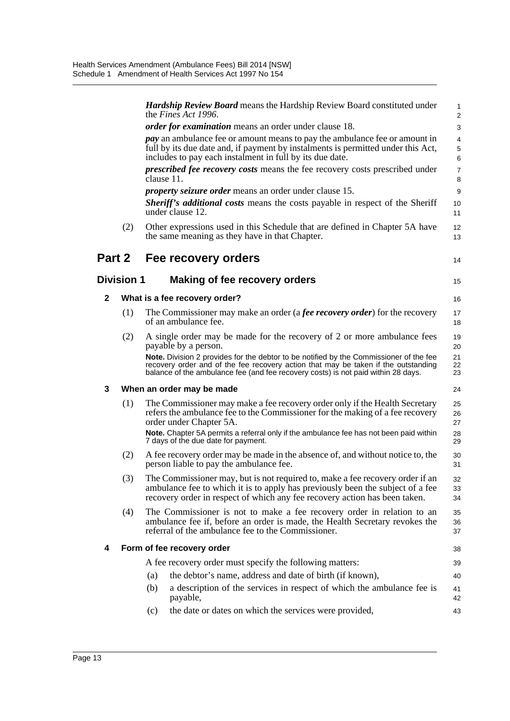|              |                   |            | <b>Hardship Review Board</b> means the Hardship Review Board constituted under<br>the <i>Fines Act 1996</i> .                                                                                                                                                                                                                                                        | 1<br>$\overline{c}$        |
|--------------|-------------------|------------|----------------------------------------------------------------------------------------------------------------------------------------------------------------------------------------------------------------------------------------------------------------------------------------------------------------------------------------------------------------------|----------------------------|
|              |                   |            | <i>order for examination</i> means an order under clause 18.                                                                                                                                                                                                                                                                                                         | 3                          |
|              |                   |            | <i>pay</i> an ambulance fee or amount means to pay the ambulance fee or amount in<br>full by its due date and, if payment by instalments is permitted under this Act,<br>includes to pay each instalment in full by its due date.                                                                                                                                    | 4<br>5<br>6                |
|              |                   | clause 11. | <i>prescribed fee recovery costs</i> means the fee recovery costs prescribed under                                                                                                                                                                                                                                                                                   | $\overline{7}$<br>8        |
|              |                   |            | <i>property seizure order</i> means an order under clause 15.                                                                                                                                                                                                                                                                                                        | 9                          |
|              |                   |            | <b>Sheriff's additional costs means the costs payable in respect of the Sheriff</b><br>under clause 12.                                                                                                                                                                                                                                                              | 10<br>11                   |
|              | (2)               |            | Other expressions used in this Schedule that are defined in Chapter 5A have<br>the same meaning as they have in that Chapter.                                                                                                                                                                                                                                        | 12<br>13                   |
| Part 2       |                   |            | Fee recovery orders                                                                                                                                                                                                                                                                                                                                                  | 14                         |
|              | <b>Division 1</b> |            | Making of fee recovery orders                                                                                                                                                                                                                                                                                                                                        | 15                         |
| $\mathbf{2}$ |                   |            | What is a fee recovery order?                                                                                                                                                                                                                                                                                                                                        | 16                         |
|              | (1)               |            | The Commissioner may make an order (a <i>fee recovery order</i> ) for the recovery<br>of an ambulance fee.                                                                                                                                                                                                                                                           | 17<br>18                   |
|              | (2)               |            | A single order may be made for the recovery of 2 or more ambulance fees<br>payable by a person.<br>Note. Division 2 provides for the debtor to be notified by the Commissioner of the fee<br>recovery order and of the fee recovery action that may be taken if the outstanding<br>balance of the ambulance fee (and fee recovery costs) is not paid within 28 days. | 19<br>20<br>21<br>22<br>23 |
| 3            |                   |            | When an order may be made                                                                                                                                                                                                                                                                                                                                            | 24                         |
|              | (1)               |            | The Commissioner may make a fee recovery order only if the Health Secretary<br>refers the ambulance fee to the Commissioner for the making of a fee recovery<br>order under Chapter 5A.                                                                                                                                                                              | 25<br>26<br>27             |
|              |                   |            | Note. Chapter 5A permits a referral only if the ambulance fee has not been paid within<br>7 days of the due date for payment.                                                                                                                                                                                                                                        | 28<br>29                   |
|              | (2)               |            | A fee recovery order may be made in the absence of, and without notice to, the<br>person liable to pay the ambulance fee.                                                                                                                                                                                                                                            | 30<br>31                   |
|              | (3)               |            | The Commissioner may, but is not required to, make a fee recovery order if an<br>ambulance fee to which it is to apply has previously been the subject of a fee<br>recovery order in respect of which any fee recovery action has been taken.                                                                                                                        | 32<br>33<br>34             |
|              | (4)               |            | The Commissioner is not to make a fee recovery order in relation to an<br>ambulance fee if, before an order is made, the Health Secretary revokes the<br>referral of the ambulance fee to the Commissioner.                                                                                                                                                          | 35<br>36<br>37             |
| 4            |                   |            | Form of fee recovery order                                                                                                                                                                                                                                                                                                                                           | 38                         |
|              |                   |            | A fee recovery order must specify the following matters:                                                                                                                                                                                                                                                                                                             | 39                         |
|              |                   | (a)        | the debtor's name, address and date of birth (if known),                                                                                                                                                                                                                                                                                                             | 40                         |
|              |                   | (b)        | a description of the services in respect of which the ambulance fee is<br>payable,                                                                                                                                                                                                                                                                                   | 41<br>42                   |
|              |                   | (c)        | the date or dates on which the services were provided,                                                                                                                                                                                                                                                                                                               | 43                         |
|              |                   |            |                                                                                                                                                                                                                                                                                                                                                                      |                            |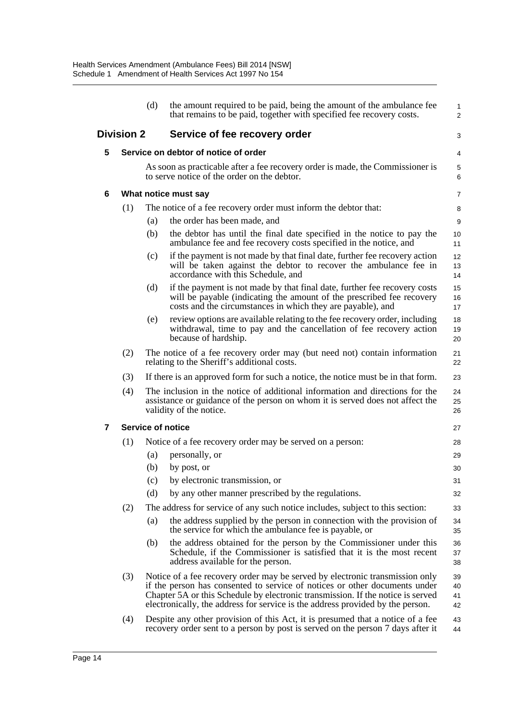|   |                   | (d) | the amount required to be paid, being the amount of the ambulance fee<br>that remains to be paid, together with specified fee recovery costs.                                                                                                                                                                                   | $\mathbf{1}$<br>$\overline{2}$ |
|---|-------------------|-----|---------------------------------------------------------------------------------------------------------------------------------------------------------------------------------------------------------------------------------------------------------------------------------------------------------------------------------|--------------------------------|
|   | <b>Division 2</b> |     | Service of fee recovery order                                                                                                                                                                                                                                                                                                   | 3                              |
| 5 |                   |     | Service on debtor of notice of order                                                                                                                                                                                                                                                                                            | 4                              |
|   |                   |     | As soon as practicable after a fee recovery order is made, the Commissioner is<br>to serve notice of the order on the debtor.                                                                                                                                                                                                   | 5<br>6                         |
| 6 |                   |     | What notice must say                                                                                                                                                                                                                                                                                                            | 7                              |
|   | (1)               |     | The notice of a fee recovery order must inform the debtor that:                                                                                                                                                                                                                                                                 | 8                              |
|   |                   | (a) | the order has been made, and                                                                                                                                                                                                                                                                                                    | 9                              |
|   |                   | (b) | the debtor has until the final date specified in the notice to pay the<br>ambulance fee and fee recovery costs specified in the notice, and                                                                                                                                                                                     | 10<br>11                       |
|   |                   | (c) | if the payment is not made by that final date, further fee recovery action<br>will be taken against the debtor to recover the ambulance fee in<br>accordance with this Schedule, and                                                                                                                                            | 12<br>13<br>14                 |
|   |                   | (d) | if the payment is not made by that final date, further fee recovery costs<br>will be payable (indicating the amount of the prescribed fee recovery<br>costs and the circumstances in which they are payable), and                                                                                                               | 15<br>16<br>17                 |
|   |                   | (e) | review options are available relating to the fee recovery order, including<br>withdrawal, time to pay and the cancellation of fee recovery action<br>because of hardship.                                                                                                                                                       | 18<br>19<br>20                 |
|   | (2)               |     | The notice of a fee recovery order may (but need not) contain information<br>relating to the Sheriff's additional costs.                                                                                                                                                                                                        | 21<br>22                       |
|   | (3)               |     | If there is an approved form for such a notice, the notice must be in that form.                                                                                                                                                                                                                                                | 23                             |
|   | (4)               |     | The inclusion in the notice of additional information and directions for the<br>assistance or guidance of the person on whom it is served does not affect the<br>validity of the notice.                                                                                                                                        | 24<br>25<br>26                 |
| 7 |                   |     | <b>Service of notice</b>                                                                                                                                                                                                                                                                                                        | 27                             |
|   | (1)               |     | Notice of a fee recovery order may be served on a person:                                                                                                                                                                                                                                                                       | 28                             |
|   |                   | (a) | personally, or                                                                                                                                                                                                                                                                                                                  | 29                             |
|   |                   | (b) | by post, or                                                                                                                                                                                                                                                                                                                     | 30                             |
|   |                   | (c) | by electronic transmission, or                                                                                                                                                                                                                                                                                                  | 31                             |
|   |                   | (d) | by any other manner prescribed by the regulations.                                                                                                                                                                                                                                                                              | 32                             |
|   | (2)               |     | The address for service of any such notice includes, subject to this section:                                                                                                                                                                                                                                                   | 33                             |
|   |                   | (a) | the address supplied by the person in connection with the provision of<br>the service for which the ambulance fee is payable, or                                                                                                                                                                                                | 34<br>35                       |
|   |                   | (b) | the address obtained for the person by the Commissioner under this<br>Schedule, if the Commissioner is satisfied that it is the most recent<br>address available for the person.                                                                                                                                                | 36<br>37<br>38                 |
|   | (3)               |     | Notice of a fee recovery order may be served by electronic transmission only<br>if the person has consented to service of notices or other documents under<br>Chapter 5A or this Schedule by electronic transmission. If the notice is served<br>electronically, the address for service is the address provided by the person. | 39<br>40<br>41<br>42           |
|   | (4)               |     | Despite any other provision of this Act, it is presumed that a notice of a fee<br>recovery order sent to a person by post is served on the person 7 days after it                                                                                                                                                               | 43<br>44                       |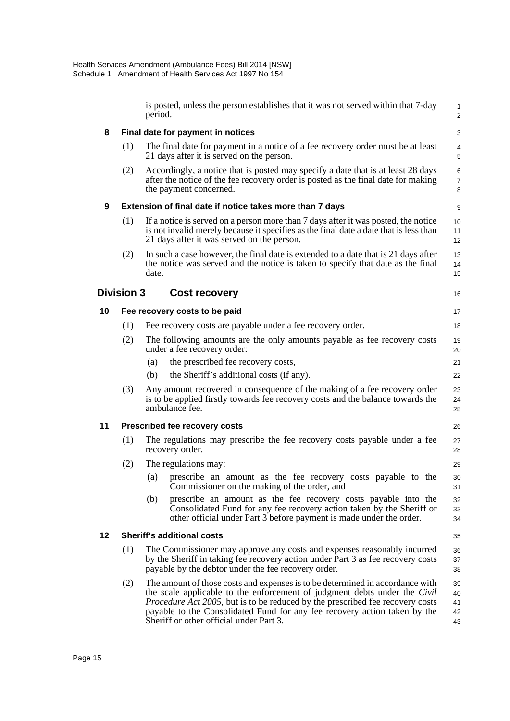|    |                   | is posted, unless the person establishes that it was not served within that 7-day<br>period.                                                                                                                                                                                                                                            | $\mathbf{1}$<br>$\overline{2}$ |
|----|-------------------|-----------------------------------------------------------------------------------------------------------------------------------------------------------------------------------------------------------------------------------------------------------------------------------------------------------------------------------------|--------------------------------|
| 8  |                   | Final date for payment in notices                                                                                                                                                                                                                                                                                                       | 3                              |
|    | (1)               | The final date for payment in a notice of a fee recovery order must be at least<br>21 days after it is served on the person.                                                                                                                                                                                                            | 4<br>5                         |
|    | (2)               | Accordingly, a notice that is posted may specify a date that is at least 28 days<br>after the notice of the fee recovery order is posted as the final date for making<br>the payment concerned.                                                                                                                                         | 6<br>$\overline{7}$<br>8       |
| 9  |                   | Extension of final date if notice takes more than 7 days                                                                                                                                                                                                                                                                                | 9                              |
|    | (1)               | If a notice is served on a person more than 7 days after it was posted, the notice<br>is not invalid merely because it specifies as the final date a date that is less than<br>21 days after it was served on the person.                                                                                                               | 10<br>11<br>12                 |
|    | (2)               | In such a case however, the final date is extended to a date that is 21 days after<br>the notice was served and the notice is taken to specify that date as the final<br>date.                                                                                                                                                          | 13<br>14<br>15                 |
|    | <b>Division 3</b> | <b>Cost recovery</b>                                                                                                                                                                                                                                                                                                                    | 16                             |
| 10 |                   | Fee recovery costs to be paid                                                                                                                                                                                                                                                                                                           | 17                             |
|    | (1)               | Fee recovery costs are payable under a fee recovery order.                                                                                                                                                                                                                                                                              | 18                             |
|    | (2)               | The following amounts are the only amounts payable as fee recovery costs<br>under a fee recovery order:                                                                                                                                                                                                                                 | 19<br>20                       |
|    |                   | the prescribed fee recovery costs,<br>(a)                                                                                                                                                                                                                                                                                               | 21                             |
|    |                   | the Sheriff's additional costs (if any).<br>(b)                                                                                                                                                                                                                                                                                         | 22                             |
|    | (3)               | Any amount recovered in consequence of the making of a fee recovery order<br>is to be applied firstly towards fee recovery costs and the balance towards the<br>ambulance fee.                                                                                                                                                          | 23<br>24<br>25                 |
| 11 |                   | <b>Prescribed fee recovery costs</b>                                                                                                                                                                                                                                                                                                    | 26                             |
|    | (1)               | The regulations may prescribe the fee recovery costs payable under a fee<br>recovery order.                                                                                                                                                                                                                                             | 27<br>28                       |
|    | (2)               | The regulations may:                                                                                                                                                                                                                                                                                                                    | 29                             |
|    |                   | prescribe an amount as the fee recovery costs payable to the<br>(a)<br>Commissioner on the making of the order, and                                                                                                                                                                                                                     | 30<br>31                       |
|    |                   | (b)<br>prescribe an amount as the fee recovery costs payable into the<br>Consolidated Fund for any fee recovery action taken by the Sheriff or<br>other official under Part 3 before payment is made under the order.                                                                                                                   | 32<br>33<br>34                 |
| 12 |                   | <b>Sheriff's additional costs</b>                                                                                                                                                                                                                                                                                                       | 35                             |
|    | (1)               | The Commissioner may approve any costs and expenses reasonably incurred<br>by the Sheriff in taking fee recovery action under Part 3 as fee recovery costs<br>payable by the debtor under the fee recovery order.                                                                                                                       | 36<br>37<br>38                 |
|    | (2)               | The amount of those costs and expenses is to be determined in accordance with<br>the scale applicable to the enforcement of judgment debts under the <i>Civil</i><br><i>Procedure Act 2005</i> , but is to be reduced by the prescribed fee recovery costs<br>payable to the Consolidated Fund for any fee recovery action taken by the | 39<br>40<br>41<br>42           |

43

Sheriff or other official under Part 3.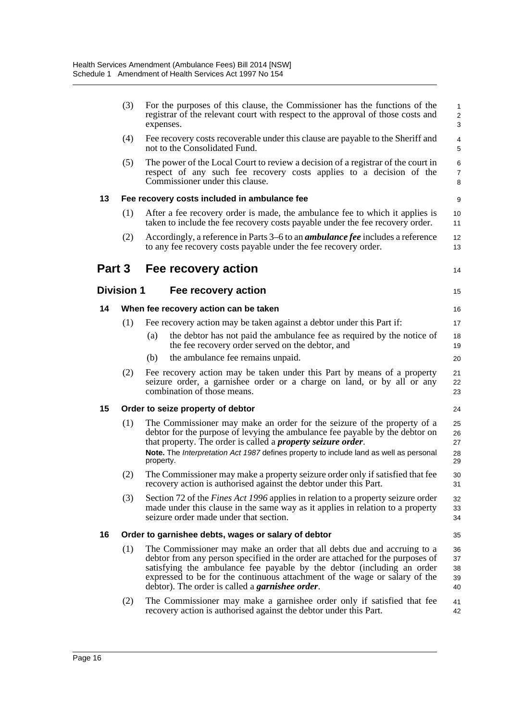|        | (3)               | For the purposes of this clause, the Commissioner has the functions of the<br>registrar of the relevant court with respect to the approval of those costs and<br>expenses.                                                                                                                                                                                                   | 1<br>$\overline{c}$<br>3   |
|--------|-------------------|------------------------------------------------------------------------------------------------------------------------------------------------------------------------------------------------------------------------------------------------------------------------------------------------------------------------------------------------------------------------------|----------------------------|
|        | (4)               | Fee recovery costs recoverable under this clause are payable to the Sheriff and<br>not to the Consolidated Fund.                                                                                                                                                                                                                                                             | 4<br>5                     |
|        | (5)               | The power of the Local Court to review a decision of a registrar of the court in<br>respect of any such fee recovery costs applies to a decision of the<br>Commissioner under this clause.                                                                                                                                                                                   | 6<br>$\overline{7}$<br>8   |
| 13     |                   | Fee recovery costs included in ambulance fee                                                                                                                                                                                                                                                                                                                                 | 9                          |
|        | (1)               | After a fee recovery order is made, the ambulance fee to which it applies is<br>taken to include the fee recovery costs payable under the fee recovery order.                                                                                                                                                                                                                | 10<br>11                   |
|        | (2)               | Accordingly, a reference in Parts 3–6 to an <i>ambulance fee</i> includes a reference<br>to any fee recovery costs payable under the fee recovery order.                                                                                                                                                                                                                     | 12<br>13                   |
| Part 3 |                   | Fee recovery action                                                                                                                                                                                                                                                                                                                                                          | 14                         |
|        | <b>Division 1</b> | Fee recovery action                                                                                                                                                                                                                                                                                                                                                          | 15                         |
| 14     |                   | When fee recovery action can be taken                                                                                                                                                                                                                                                                                                                                        | 16                         |
|        | (1)               | Fee recovery action may be taken against a debtor under this Part if:                                                                                                                                                                                                                                                                                                        | 17                         |
|        |                   | the debtor has not paid the ambulance fee as required by the notice of<br>(a)<br>the fee recovery order served on the debtor, and                                                                                                                                                                                                                                            | 18<br>19                   |
|        |                   | the ambulance fee remains unpaid.<br>(b)                                                                                                                                                                                                                                                                                                                                     | 20                         |
|        | (2)               | Fee recovery action may be taken under this Part by means of a property<br>seizure order, a garnishee order or a charge on land, or by all or any<br>combination of those means.                                                                                                                                                                                             | 21<br>22<br>23             |
| 15     |                   | Order to seize property of debtor                                                                                                                                                                                                                                                                                                                                            | 24                         |
|        | (1)               | The Commissioner may make an order for the seizure of the property of a<br>debtor for the purpose of levying the ambulance fee payable by the debtor on<br>that property. The order is called a <i>property seizure order</i> .<br>Note. The Interpretation Act 1987 defines property to include land as well as personal<br>property.                                       | 25<br>26<br>27<br>28<br>29 |
|        | (2)               | The Commissioner may make a property seizure order only if satisfied that fee<br>recovery action is authorised against the debtor under this Part.                                                                                                                                                                                                                           | 30<br>31                   |
|        | (3)               | Section 72 of the <i>Fines Act 1996</i> applies in relation to a property seizure order<br>made under this clause in the same way as it applies in relation to a property<br>seizure order made under that section.                                                                                                                                                          | 32<br>33<br>34             |
| 16     |                   | Order to garnishee debts, wages or salary of debtor                                                                                                                                                                                                                                                                                                                          | 35                         |
|        | (1)               | The Commissioner may make an order that all debts due and accruing to a<br>debtor from any person specified in the order are attached for the purposes of<br>satisfying the ambulance fee payable by the debtor (including an order<br>expressed to be for the continuous attachment of the wage or salary of the<br>debtor). The order is called a <i>garnishee order</i> . | 36<br>37<br>38<br>39<br>40 |
|        | (2)               | The Commissioner may make a garnishee order only if satisfied that fee<br>recovery action is authorised against the debtor under this Part.                                                                                                                                                                                                                                  | 41<br>42                   |
|        |                   |                                                                                                                                                                                                                                                                                                                                                                              |                            |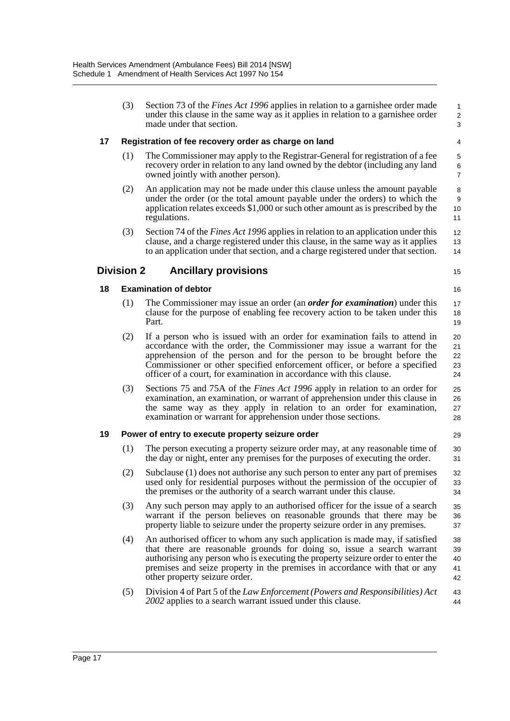|    | (3)               | Section 73 of the <i>Fines Act 1996</i> applies in relation to a garnishee order made<br>under this clause in the same way as it applies in relation to a garnishee order<br>made under that section.                                                                                                                                                                                | 1<br>$\overline{\mathbf{c}}$<br>3 |
|----|-------------------|--------------------------------------------------------------------------------------------------------------------------------------------------------------------------------------------------------------------------------------------------------------------------------------------------------------------------------------------------------------------------------------|-----------------------------------|
| 17 |                   | Registration of fee recovery order as charge on land                                                                                                                                                                                                                                                                                                                                 | 4                                 |
|    | (1)               | The Commissioner may apply to the Registrar-General for registration of a fee<br>recovery order in relation to any land owned by the debtor (including any land<br>owned jointly with another person).                                                                                                                                                                               | 5<br>6<br>$\overline{7}$          |
|    | (2)               | An application may not be made under this clause unless the amount payable<br>under the order (or the total amount payable under the orders) to which the<br>application relates exceeds \$1,000 or such other amount as is prescribed by the<br>regulations.                                                                                                                        | 8<br>9<br>10<br>11                |
|    | (3)               | Section 74 of the <i>Fines Act 1996</i> applies in relation to an application under this<br>clause, and a charge registered under this clause, in the same way as it applies<br>to an application under that section, and a charge registered under that section.                                                                                                                    | 12<br>13<br>14                    |
|    | <b>Division 2</b> | <b>Ancillary provisions</b>                                                                                                                                                                                                                                                                                                                                                          | 15                                |
| 18 |                   | <b>Examination of debtor</b>                                                                                                                                                                                                                                                                                                                                                         | 16                                |
|    | (1)               | The Commissioner may issue an order (an <i>order for examination</i> ) under this<br>clause for the purpose of enabling fee recovery action to be taken under this<br>Part.                                                                                                                                                                                                          | 17<br>18<br>19                    |
|    | (2)               | If a person who is issued with an order for examination fails to attend in<br>accordance with the order, the Commissioner may issue a warrant for the<br>apprehension of the person and for the person to be brought before the<br>Commissioner or other specified enforcement officer, or before a specified<br>officer of a court, for examination in accordance with this clause. | 20<br>21<br>22<br>23<br>24        |
|    | (3)               | Sections 75 and 75A of the <i>Fines Act 1996</i> apply in relation to an order for<br>examination, an examination, or warrant of apprehension under this clause in<br>the same way as they apply in relation to an order for examination,<br>examination or warrant for apprehension under those sections.                                                                           | 25<br>26<br>27<br>28              |
| 19 |                   | Power of entry to execute property seizure order                                                                                                                                                                                                                                                                                                                                     | 29                                |
|    | (1)               | The person executing a property seizure order may, at any reasonable time of<br>the day or night, enter any premises for the purposes of executing the order.                                                                                                                                                                                                                        | 30<br>31                          |
|    | (2)               | Subclause (1) does not authorise any such person to enter any part of premises<br>used only for residential purposes without the permission of the occupier of<br>the premises or the authority of a search warrant under this clause.                                                                                                                                               | 32<br>33<br>34                    |
|    | (3)               | Any such person may apply to an authorised officer for the issue of a search<br>warrant if the person believes on reasonable grounds that there may be<br>property liable to seizure under the property seizure order in any premises.                                                                                                                                               | 35<br>36<br>37                    |
|    | (4)               | An authorised officer to whom any such application is made may, if satisfied<br>that there are reasonable grounds for doing so, issue a search warrant<br>authorising any person who is executing the property seizure order to enter the<br>premises and seize property in the premises in accordance with that or any<br>other property seizure order.                             | 38<br>39<br>40<br>41<br>42        |
|    | (5)               | Division 4 of Part 5 of the Law Enforcement (Powers and Responsibilities) Act<br>2002 applies to a search warrant issued under this clause.                                                                                                                                                                                                                                          | 43<br>44                          |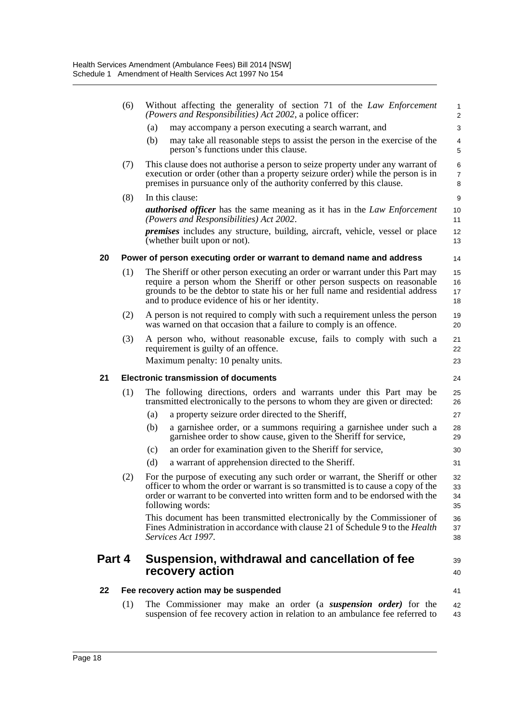|        | (6) | Without affecting the generality of section 71 of the Law Enforcement<br>(Powers and Responsibilities) Act 2002, a police officer:                                                                                                                                                             | 1<br>$\overline{c}$      |
|--------|-----|------------------------------------------------------------------------------------------------------------------------------------------------------------------------------------------------------------------------------------------------------------------------------------------------|--------------------------|
|        |     | may accompany a person executing a search warrant, and<br>(a)                                                                                                                                                                                                                                  | 3                        |
|        |     | (b)<br>may take all reasonable steps to assist the person in the exercise of the<br>person's functions under this clause.                                                                                                                                                                      | 4<br>5                   |
|        | (7) | This clause does not authorise a person to seize property under any warrant of<br>execution or order (other than a property seizure order) while the person is in<br>premises in pursuance only of the authority conferred by this clause.                                                     | 6<br>$\overline{7}$<br>8 |
|        | (8) | In this clause:                                                                                                                                                                                                                                                                                | 9                        |
|        |     | <b>authorised officer</b> has the same meaning as it has in the Law Enforcement<br>(Powers and Responsibilities) Act 2002.                                                                                                                                                                     | 10<br>11                 |
|        |     | <i>premises</i> includes any structure, building, aircraft, vehicle, vessel or place<br>(whether built upon or not).                                                                                                                                                                           | 12<br>13                 |
| 20     |     | Power of person executing order or warrant to demand name and address                                                                                                                                                                                                                          | 14                       |
|        | (1) | The Sheriff or other person executing an order or warrant under this Part may<br>require a person whom the Sheriff or other person suspects on reasonable<br>grounds to be the debtor to state his or her full name and residential address<br>and to produce evidence of his or her identity. | 15<br>16<br>17<br>18     |
|        | (2) | A person is not required to comply with such a requirement unless the person<br>was warned on that occasion that a failure to comply is an offence.                                                                                                                                            | 19<br>20                 |
|        | (3) | A person who, without reasonable excuse, fails to comply with such a<br>requirement is guilty of an offence.<br>Maximum penalty: 10 penalty units.                                                                                                                                             | 21<br>22<br>23           |
|        |     |                                                                                                                                                                                                                                                                                                |                          |
| 21     |     | <b>Electronic transmission of documents</b>                                                                                                                                                                                                                                                    | 24                       |
|        | (1) | The following directions, orders and warrants under this Part may be<br>transmitted electronically to the persons to whom they are given or directed:                                                                                                                                          | 25<br>26                 |
|        |     | a property seizure order directed to the Sheriff,<br>(a)                                                                                                                                                                                                                                       | 27                       |
|        |     | a garnishee order, or a summons requiring a garnishee under such a<br>(b)<br>garnishee order to show cause, given to the Sheriff for service,                                                                                                                                                  | 28<br>29                 |
|        |     | (c)<br>an order for examination given to the Sheriff for service,                                                                                                                                                                                                                              | 30                       |
|        |     | (d)<br>a warrant of apprehension directed to the Sheriff.                                                                                                                                                                                                                                      | 31                       |
|        | (2) | For the purpose of executing any such order or warrant, the Sheriff or other<br>officer to whom the order or warrant is so transmitted is to cause a copy of the<br>order or warrant to be converted into written form and to be endorsed with the<br>following words:                         | 32<br>33<br>34<br>35     |
|        |     | This document has been transmitted electronically by the Commissioner of<br>Fines Administration in accordance with clause 21 of Schedule 9 to the <i>Health</i><br>Services Act 1997.                                                                                                         | 36<br>37<br>38           |
| Part 4 |     | Suspension, withdrawal and cancellation of fee<br>recovery action                                                                                                                                                                                                                              | 39<br>40                 |
| 22     |     | Fee recovery action may be suspended                                                                                                                                                                                                                                                           | 41                       |
|        | (1) | The Commissioner may make an order (a <i>suspension order</i> ) for the<br>suspension of fee recovery action in relation to an ambulance fee referred to                                                                                                                                       | 42<br>43                 |
|        |     |                                                                                                                                                                                                                                                                                                |                          |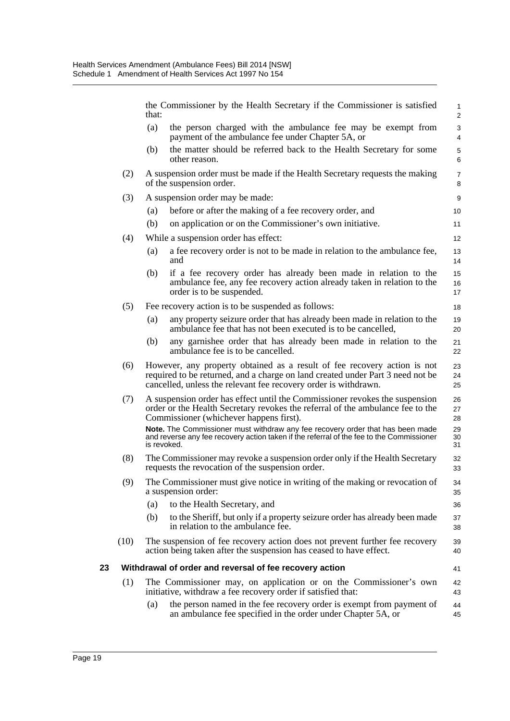|    |      | that:       | the Commissioner by the Health Secretary if the Commissioner is satisfied                                                                                                                                                     | $\mathbf{1}$<br>$\mathbf{2}$ |
|----|------|-------------|-------------------------------------------------------------------------------------------------------------------------------------------------------------------------------------------------------------------------------|------------------------------|
|    |      | (a)         | the person charged with the ambulance fee may be exempt from<br>payment of the ambulance fee under Chapter 5A, or                                                                                                             | 3<br>4                       |
|    |      | (b)         | the matter should be referred back to the Health Secretary for some<br>other reason.                                                                                                                                          | 5<br>6                       |
|    | (2)  |             | A suspension order must be made if the Health Secretary requests the making<br>of the suspension order.                                                                                                                       | $\overline{7}$<br>8          |
|    | (3)  |             | A suspension order may be made:                                                                                                                                                                                               | 9                            |
|    |      | (a)         | before or after the making of a fee recovery order, and                                                                                                                                                                       | 10                           |
|    |      | (b)         | on application or on the Commissioner's own initiative.                                                                                                                                                                       | 11                           |
|    | (4)  |             | While a suspension order has effect:                                                                                                                                                                                          | 12                           |
|    |      | (a)         | a fee recovery order is not to be made in relation to the ambulance fee,<br>and                                                                                                                                               | 13<br>14                     |
|    |      | (b)         | if a fee recovery order has already been made in relation to the<br>ambulance fee, any fee recovery action already taken in relation to the<br>order is to be suspended.                                                      | 15<br>16<br>17               |
|    | (5)  |             | Fee recovery action is to be suspended as follows:                                                                                                                                                                            | 18                           |
|    |      | (a)         | any property seizure order that has already been made in relation to the<br>ambulance fee that has not been executed is to be cancelled,                                                                                      | 19<br>20                     |
|    |      | (b)         | any garnishee order that has already been made in relation to the<br>ambulance fee is to be cancelled.                                                                                                                        | 21<br>22                     |
|    | (6)  |             | However, any property obtained as a result of fee recovery action is not<br>required to be returned, and a charge on land created under Part 3 need not be<br>cancelled, unless the relevant fee recovery order is withdrawn. | 23<br>24<br>25               |
|    | (7)  |             | A suspension order has effect until the Commissioner revokes the suspension<br>order or the Health Secretary revokes the referral of the ambulance fee to the<br>Commissioner (whichever happens first).                      | 26<br>27<br>28               |
|    |      | is revoked. | Note. The Commissioner must withdraw any fee recovery order that has been made<br>and reverse any fee recovery action taken if the referral of the fee to the Commissioner                                                    | 29<br>30<br>31               |
|    | (8)  |             | The Commissioner may revoke a suspension order only if the Health Secretary<br>requests the revocation of the suspension order.                                                                                               | 32<br>33                     |
|    | (9)  |             | The Commissioner must give notice in writing of the making or revocation of<br>a suspension order:                                                                                                                            | 34<br>35                     |
|    |      | (a)         | to the Health Secretary, and                                                                                                                                                                                                  | 36                           |
|    |      | (b)         | to the Sheriff, but only if a property seizure order has already been made<br>in relation to the ambulance fee.                                                                                                               | 37<br>38                     |
|    | (10) |             | The suspension of fee recovery action does not prevent further fee recovery<br>action being taken after the suspension has ceased to have effect.                                                                             | 39<br>40                     |
| 23 |      |             | Withdrawal of order and reversal of fee recovery action                                                                                                                                                                       | 41                           |
|    | (1)  |             | The Commissioner may, on application or on the Commissioner's own<br>initiative, withdraw a fee recovery order if satisfied that:                                                                                             | 42<br>43                     |
|    |      | (a)         | the person named in the fee recovery order is exempt from payment of<br>an ambulance fee specified in the order under Chapter 5A, or                                                                                          | 44<br>45                     |
|    |      |             |                                                                                                                                                                                                                               |                              |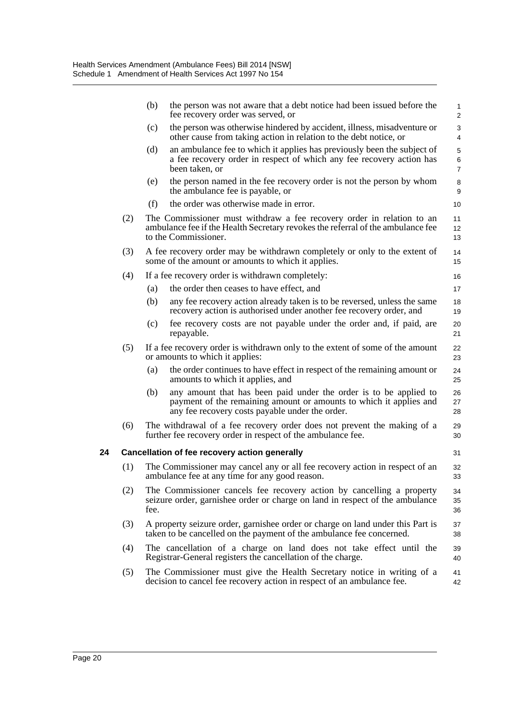|    |     | (b)  | the person was not aware that a debt notice had been issued before the<br>fee recovery order was served, or                                                                                | $\mathbf{1}$<br>$\mathbf{2}$ |
|----|-----|------|--------------------------------------------------------------------------------------------------------------------------------------------------------------------------------------------|------------------------------|
|    |     | (c)  | the person was otherwise hindered by accident, illness, misadventure or<br>other cause from taking action in relation to the debt notice, or                                               | 3<br>$\overline{4}$          |
|    |     | (d)  | an ambulance fee to which it applies has previously been the subject of<br>a fee recovery order in respect of which any fee recovery action has<br>been taken, or                          | 5<br>6<br>$\overline{7}$     |
|    |     | (e)  | the person named in the fee recovery order is not the person by whom<br>the ambulance fee is payable, or                                                                                   | 8<br>9                       |
|    |     | (f)  | the order was otherwise made in error.                                                                                                                                                     | 10                           |
|    | (2) |      | The Commissioner must withdraw a fee recovery order in relation to an<br>ambulance fee if the Health Secretary revokes the referral of the ambulance fee<br>to the Commissioner.           | 11<br>12<br>13               |
|    | (3) |      | A fee recovery order may be withdrawn completely or only to the extent of<br>some of the amount or amounts to which it applies.                                                            | 14<br>15                     |
|    | (4) |      | If a fee recovery order is withdrawn completely:                                                                                                                                           | 16                           |
|    |     | (a)  | the order then ceases to have effect, and                                                                                                                                                  | 17                           |
|    |     | (b)  | any fee recovery action already taken is to be reversed, unless the same<br>recovery action is authorised under another fee recovery order, and                                            | 18<br>19                     |
|    |     | (c)  | fee recovery costs are not payable under the order and, if paid, are<br>repayable.                                                                                                         | 20<br>21                     |
|    | (5) |      | If a fee recovery order is withdrawn only to the extent of some of the amount<br>or amounts to which it applies:                                                                           | 22<br>23                     |
|    |     | (a)  | the order continues to have effect in respect of the remaining amount or<br>amounts to which it applies, and                                                                               | 24<br>25                     |
|    |     | (b)  | any amount that has been paid under the order is to be applied to<br>payment of the remaining amount or amounts to which it applies and<br>any fee recovery costs payable under the order. | 26<br>27<br>28               |
|    | (6) |      | The withdrawal of a fee recovery order does not prevent the making of a<br>further fee recovery order in respect of the ambulance fee.                                                     | 29<br>30                     |
| 24 |     |      | Cancellation of fee recovery action generally                                                                                                                                              | 31                           |
|    | (1) |      | The Commissioner may cancel any or all fee recovery action in respect of an<br>ambulance fee at any time for any good reason.                                                              | 32<br>33                     |
|    | (2) | fee. | The Commissioner cancels fee recovery action by cancelling a property<br>seizure order, garnishee order or charge on land in respect of the ambulance                                      | 34<br>35<br>36               |
|    | (3) |      | A property seizure order, garnishee order or charge on land under this Part is<br>taken to be cancelled on the payment of the ambulance fee concerned.                                     | 37<br>38                     |
|    | (4) |      | The cancellation of a charge on land does not take effect until the<br>Registrar-General registers the cancellation of the charge.                                                         | 39<br>40                     |
|    | (5) |      | The Commissioner must give the Health Secretary notice in writing of a<br>decision to cancel fee recovery action in respect of an ambulance fee.                                           | 41<br>42                     |
|    |     |      |                                                                                                                                                                                            |                              |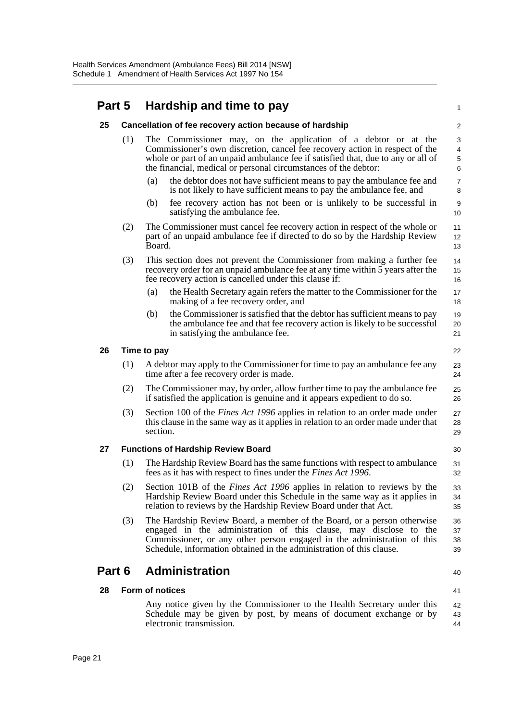#### **Part 5 Hardship and time to pay**

|        |     | <b>THE READER</b> WITH STRIPS IN THE                                                                                                                                                                                                                                                                 |                               |
|--------|-----|------------------------------------------------------------------------------------------------------------------------------------------------------------------------------------------------------------------------------------------------------------------------------------------------------|-------------------------------|
| 25     |     | Cancellation of fee recovery action because of hardship                                                                                                                                                                                                                                              | 2                             |
|        | (1) | The Commissioner may, on the application of a debtor or at the<br>Commissioner's own discretion, cancel fee recovery action in respect of the<br>whole or part of an unpaid ambulance fee if satisfied that, due to any or all of<br>the financial, medical or personal circumstances of the debtor: | 3<br>$\overline{4}$<br>5<br>6 |
|        |     | the debtor does not have sufficient means to pay the ambulance fee and<br>(a)<br>is not likely to have sufficient means to pay the ambulance fee, and                                                                                                                                                | $\overline{7}$<br>8           |
|        |     | (b)<br>fee recovery action has not been or is unlikely to be successful in<br>satisfying the ambulance fee.                                                                                                                                                                                          | 9<br>10                       |
|        | (2) | The Commissioner must cancel fee recovery action in respect of the whole or<br>part of an unpaid ambulance fee if directed to do so by the Hardship Review<br>Board.                                                                                                                                 | 11<br>12<br>13                |
|        | (3) | This section does not prevent the Commissioner from making a further fee<br>recovery order for an unpaid ambulance fee at any time within 5 years after the<br>fee recovery action is cancelled under this clause if:                                                                                | 14<br>15<br>16                |
|        |     | the Health Secretary again refers the matter to the Commissioner for the<br>(a)<br>making of a fee recovery order, and                                                                                                                                                                               | 17<br>18                      |
|        |     | the Commissioner is satisfied that the debtor has sufficient means to pay<br>(b)<br>the ambulance fee and that fee recovery action is likely to be successful<br>in satisfying the ambulance fee.                                                                                                    | 19<br>20<br>21                |
| 26     |     | Time to pay                                                                                                                                                                                                                                                                                          | 22                            |
|        | (1) | A debtor may apply to the Commissioner for time to pay an ambulance fee any<br>time after a fee recovery order is made.                                                                                                                                                                              | 23<br>24                      |
|        | (2) | The Commissioner may, by order, allow further time to pay the ambulance fee<br>if satisfied the application is genuine and it appears expedient to do so.                                                                                                                                            | 25<br>26                      |
|        | (3) | Section 100 of the <i>Fines Act 1996</i> applies in relation to an order made under<br>this clause in the same way as it applies in relation to an order made under that<br>section.                                                                                                                 | 27<br>28<br>29                |
| 27     |     | <b>Functions of Hardship Review Board</b>                                                                                                                                                                                                                                                            | 30                            |
|        | (1) | The Hardship Review Board has the same functions with respect to ambulance<br>fees as it has with respect to fines under the <i>Fines Act 1996</i> .                                                                                                                                                 | 31<br>32                      |
|        | (2) | Section 101B of the <i>Fines Act 1996</i> applies in relation to reviews by the<br>Hardship Review Board under this Schedule in the same way as it applies in<br>relation to reviews by the Hardship Review Board under that Act.                                                                    | 33<br>34<br>35                |
|        | (3) | The Hardship Review Board, a member of the Board, or a person otherwise<br>engaged in the administration of this clause, may disclose to the<br>Commissioner, or any other person engaged in the administration of this<br>Schedule, information obtained in the administration of this clause.      | 36<br>37<br>38<br>39          |
| Part 6 |     | <b>Administration</b>                                                                                                                                                                                                                                                                                | 40                            |
| 28     |     | Form of notices                                                                                                                                                                                                                                                                                      | 41                            |
|        |     | Any notice given by the Commissioner to the Health Secretary under this<br>Schedule may be given by post, by means of document exchange or by<br>electronic transmission.                                                                                                                            | 42<br>43<br>44                |

1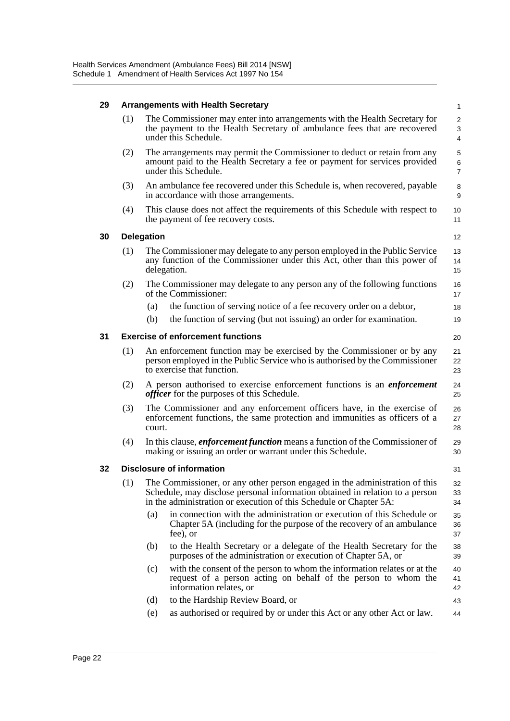| 29 |     | <b>Arrangements with Health Secretary</b>                                                                                                                                                                                         | $\mathbf{1}$             |
|----|-----|-----------------------------------------------------------------------------------------------------------------------------------------------------------------------------------------------------------------------------------|--------------------------|
|    | (1) | The Commissioner may enter into arrangements with the Health Secretary for<br>the payment to the Health Secretary of ambulance fees that are recovered<br>under this Schedule.                                                    | 2<br>3<br>4              |
|    | (2) | The arrangements may permit the Commissioner to deduct or retain from any<br>amount paid to the Health Secretary a fee or payment for services provided<br>under this Schedule.                                                   | 5<br>6<br>$\overline{7}$ |
|    | (3) | An ambulance fee recovered under this Schedule is, when recovered, payable<br>in accordance with those arrangements.                                                                                                              | 8<br>9                   |
|    | (4) | This clause does not affect the requirements of this Schedule with respect to<br>the payment of fee recovery costs.                                                                                                               | 10<br>11                 |
| 30 |     | <b>Delegation</b>                                                                                                                                                                                                                 | 12                       |
|    | (1) | The Commissioner may delegate to any person employed in the Public Service<br>any function of the Commissioner under this Act, other than this power of<br>delegation.                                                            | 13<br>14<br>15           |
|    | (2) | The Commissioner may delegate to any person any of the following functions<br>of the Commissioner:                                                                                                                                | 16<br>17                 |
|    |     | the function of serving notice of a fee recovery order on a debtor,<br>(a)                                                                                                                                                        | 18                       |
|    |     | the function of serving (but not issuing) an order for examination.<br>(b)                                                                                                                                                        | 19                       |
| 31 |     | <b>Exercise of enforcement functions</b>                                                                                                                                                                                          | 20                       |
|    | (1) | An enforcement function may be exercised by the Commissioner or by any<br>person employed in the Public Service who is authorised by the Commissioner<br>to exercise that function.                                               | 21<br>22<br>23           |
|    | (2) | A person authorised to exercise enforcement functions is an <i>enforcement</i><br><i>officer</i> for the purposes of this Schedule.                                                                                               | 24<br>25                 |
|    | (3) | The Commissioner and any enforcement officers have, in the exercise of<br>enforcement functions, the same protection and immunities as officers of a<br>court.                                                                    | 26<br>27<br>28           |
|    | (4) | In this clause, <i>enforcement function</i> means a function of the Commissioner of<br>making or issuing an order or warrant under this Schedule.                                                                                 | 29<br>30                 |
| 32 |     | <b>Disclosure of information</b>                                                                                                                                                                                                  | 31                       |
|    | (1) | The Commissioner, or any other person engaged in the administration of this<br>Schedule, may disclose personal information obtained in relation to a person<br>in the administration or execution of this Schedule or Chapter 5A: | 32<br>33<br>34           |
|    |     | in connection with the administration or execution of this Schedule or<br>(a)<br>Chapter 5A (including for the purpose of the recovery of an ambulance<br>fee), or                                                                | 35<br>36<br>37           |
|    |     | (b)<br>to the Health Secretary or a delegate of the Health Secretary for the<br>purposes of the administration or execution of Chapter 5A, or                                                                                     | 38<br>39                 |
|    |     | with the consent of the person to whom the information relates or at the<br>(c)<br>request of a person acting on behalf of the person to whom the<br>information relates, or                                                      | 40<br>41<br>42           |
|    |     | to the Hardship Review Board, or<br>(d)                                                                                                                                                                                           | 43                       |
|    |     | (e)<br>as authorised or required by or under this Act or any other Act or law.                                                                                                                                                    | 44                       |
|    |     |                                                                                                                                                                                                                                   |                          |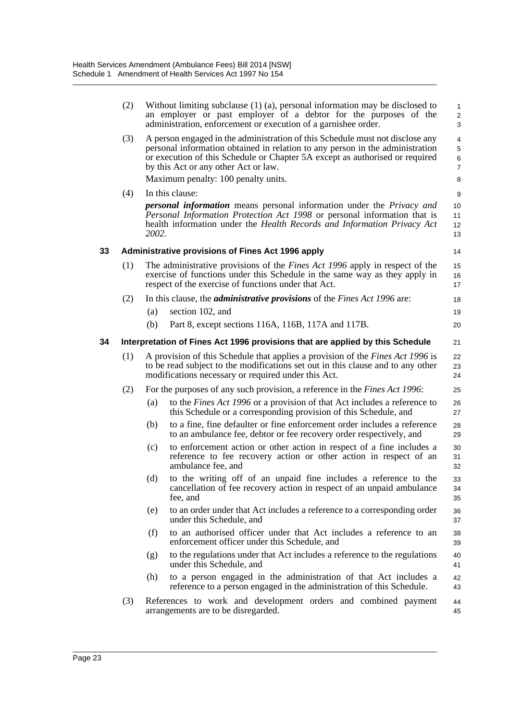|    | (2) |       | Without limiting subclause $(1)$ (a), personal information may be disclosed to<br>an employer or past employer of a debtor for the purposes of the<br>administration, enforcement or execution of a garnishee order.                                                                   | $\mathbf{1}$<br>$\overline{c}$<br>3 |
|----|-----|-------|----------------------------------------------------------------------------------------------------------------------------------------------------------------------------------------------------------------------------------------------------------------------------------------|-------------------------------------|
|    | (3) |       | A person engaged in the administration of this Schedule must not disclose any<br>personal information obtained in relation to any person in the administration<br>or execution of this Schedule or Chapter 5A except as authorised or required<br>by this Act or any other Act or law. | 4<br>5<br>6<br>$\overline{7}$       |
|    |     |       | Maximum penalty: 100 penalty units.                                                                                                                                                                                                                                                    | 8                                   |
|    | (4) |       | In this clause:                                                                                                                                                                                                                                                                        | 9                                   |
|    |     | 2002. | <b>personal information</b> means personal information under the <i>Privacy and</i><br>Personal Information Protection Act 1998 or personal information that is<br>health information under the Health Records and Information Privacy Act                                             | 10<br>11<br>12<br>13                |
| 33 |     |       | <b>Administrative provisions of Fines Act 1996 apply</b>                                                                                                                                                                                                                               | 14                                  |
|    | (1) |       | The administrative provisions of the <i>Fines Act 1996</i> apply in respect of the<br>exercise of functions under this Schedule in the same way as they apply in<br>respect of the exercise of functions under that Act.                                                               | 15<br>16<br>17                      |
|    | (2) |       | In this clause, the <i>administrative provisions</i> of the <i>Fines Act 1996</i> are:                                                                                                                                                                                                 | 18                                  |
|    |     | (a)   | section 102, and                                                                                                                                                                                                                                                                       | 19                                  |
|    |     | (b)   | Part 8, except sections 116A, 116B, 117A and 117B.                                                                                                                                                                                                                                     | 20                                  |
| 34 |     |       | Interpretation of Fines Act 1996 provisions that are applied by this Schedule                                                                                                                                                                                                          | 21                                  |
|    | (1) |       | A provision of this Schedule that applies a provision of the <i>Fines Act 1996</i> is<br>to be read subject to the modifications set out in this clause and to any other<br>modifications necessary or required under this Act.                                                        | 22<br>23<br>24                      |
|    | (2) |       | For the purposes of any such provision, a reference in the <i>Fines Act 1996</i> :                                                                                                                                                                                                     | 25                                  |
|    |     | (a)   | to the <i>Fines Act 1996</i> or a provision of that Act includes a reference to<br>this Schedule or a corresponding provision of this Schedule, and                                                                                                                                    | 26<br>27                            |
|    |     | (b)   | to a fine, fine defaulter or fine enforcement order includes a reference<br>to an ambulance fee, debtor or fee recovery order respectively, and                                                                                                                                        | 28<br>29                            |
|    |     | (c)   | to enforcement action or other action in respect of a fine includes a<br>reference to fee recovery action or other action in respect of an<br>ambulance fee, and                                                                                                                       | 30<br>31<br>32                      |
|    |     | (d)   | to the writing off of an unpaid fine includes a reference to the<br>cancellation of fee recovery action in respect of an unpaid ambulance<br>fee, and                                                                                                                                  | 33<br>34<br>35                      |
|    |     | (e)   | to an order under that Act includes a reference to a corresponding order<br>under this Schedule, and                                                                                                                                                                                   | 36<br>37                            |
|    |     | (f)   | to an authorised officer under that Act includes a reference to an<br>enforcement officer under this Schedule, and                                                                                                                                                                     | 38<br>39                            |
|    |     | (g)   | to the regulations under that Act includes a reference to the regulations<br>under this Schedule, and                                                                                                                                                                                  | 40<br>41                            |
|    |     | (h)   | to a person engaged in the administration of that Act includes a<br>reference to a person engaged in the administration of this Schedule.                                                                                                                                              | 42<br>43                            |
|    | (3) |       | References to work and development orders and combined payment<br>arrangements are to be disregarded.                                                                                                                                                                                  | 44<br>45                            |
|    |     |       |                                                                                                                                                                                                                                                                                        |                                     |